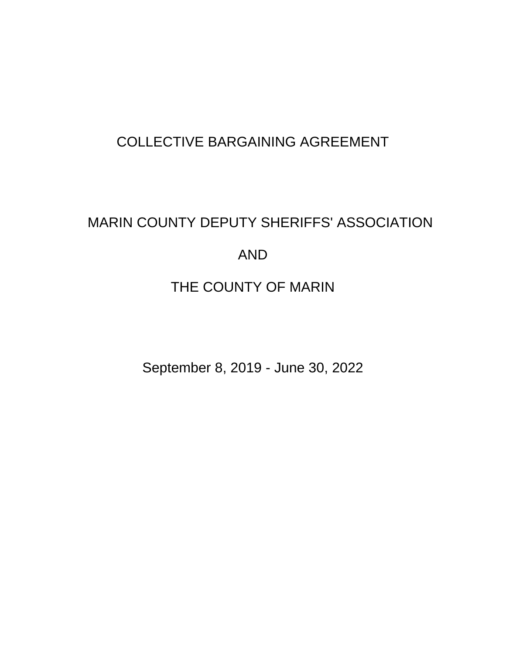# COLLECTIVE BARGAINING AGREEMENT

# MARIN COUNTY DEPUTY SHERIFFS' ASSOCIATION AND

# THE COUNTY OF MARIN

September 8, 2019 - June 30, 2022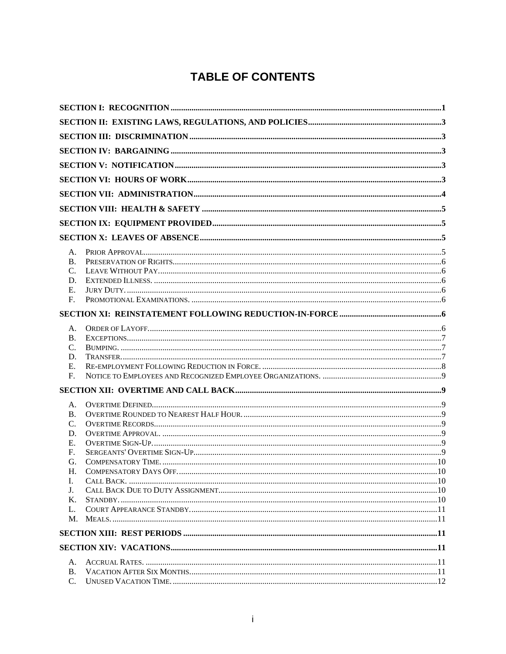# **TABLE OF CONTENTS**

| А.              |  |  |  |
|-----------------|--|--|--|
| <b>B.</b>       |  |  |  |
| C.              |  |  |  |
| D.              |  |  |  |
| Ε.              |  |  |  |
| F.              |  |  |  |
|                 |  |  |  |
|                 |  |  |  |
| А.<br><b>B.</b> |  |  |  |
| C.              |  |  |  |
| D.              |  |  |  |
| Е.              |  |  |  |
| F.              |  |  |  |
|                 |  |  |  |
|                 |  |  |  |
| А.              |  |  |  |
| <b>B.</b>       |  |  |  |
| $\mathcal{C}$ . |  |  |  |
| D.              |  |  |  |
| Ε.              |  |  |  |
| F.              |  |  |  |
| G.<br>H.        |  |  |  |
| L.              |  |  |  |
| J.              |  |  |  |
| Κ.              |  |  |  |
| L.              |  |  |  |
| M.              |  |  |  |
|                 |  |  |  |
|                 |  |  |  |
|                 |  |  |  |
| $A_{-}$         |  |  |  |
| <b>B.</b>       |  |  |  |
| $\mathcal{C}$ . |  |  |  |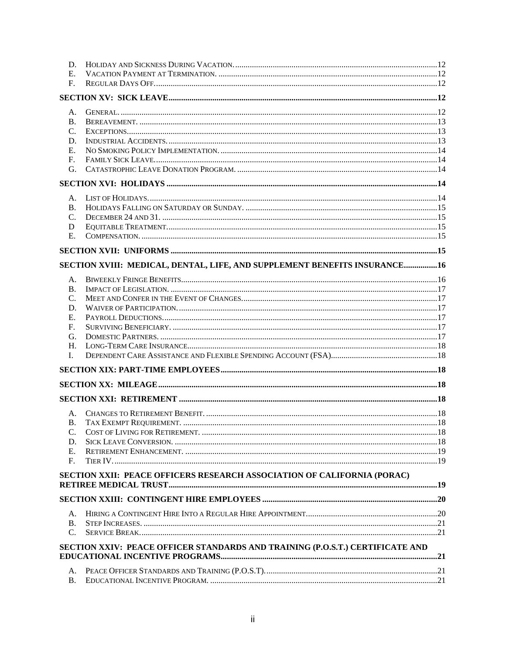| D.              |                                                                               |  |
|-----------------|-------------------------------------------------------------------------------|--|
| Е.              |                                                                               |  |
| F.              |                                                                               |  |
|                 |                                                                               |  |
|                 |                                                                               |  |
| A.              |                                                                               |  |
| <b>B.</b>       |                                                                               |  |
| $C_{\cdot}$     |                                                                               |  |
| D.              |                                                                               |  |
| Ε.              |                                                                               |  |
| $F_{\cdot}$     |                                                                               |  |
| G.              |                                                                               |  |
|                 |                                                                               |  |
|                 |                                                                               |  |
| А.              |                                                                               |  |
| <b>B.</b>       |                                                                               |  |
| C.              |                                                                               |  |
| D               |                                                                               |  |
| E.              |                                                                               |  |
|                 |                                                                               |  |
|                 | SECTION XVIII: MEDICAL, DENTAL, LIFE, AND SUPPLEMENT BENEFITS INSURANCE16     |  |
|                 |                                                                               |  |
| Α.              |                                                                               |  |
| B.              |                                                                               |  |
| $\mathcal{C}$ . |                                                                               |  |
| D.              |                                                                               |  |
| Ε.              |                                                                               |  |
| F.              |                                                                               |  |
| G.              |                                                                               |  |
| H.              |                                                                               |  |
| I.              |                                                                               |  |
|                 |                                                                               |  |
|                 |                                                                               |  |
|                 |                                                                               |  |
|                 |                                                                               |  |
| A.              |                                                                               |  |
| <b>B.</b>       |                                                                               |  |
| C.              |                                                                               |  |
| D.              |                                                                               |  |
| Ε.              |                                                                               |  |
| F.              |                                                                               |  |
|                 | SECTION XXII: PEACE OFFICERS RESEARCH ASSOCIATION OF CALIFORNIA (PORAC)       |  |
|                 |                                                                               |  |
|                 |                                                                               |  |
| A.              |                                                                               |  |
| <b>B.</b>       |                                                                               |  |
| C.              |                                                                               |  |
|                 | SECTION XXIV: PEACE OFFICER STANDARDS AND TRAINING (P.O.S.T.) CERTIFICATE AND |  |
|                 |                                                                               |  |
|                 |                                                                               |  |
| A.              |                                                                               |  |
| Β.              |                                                                               |  |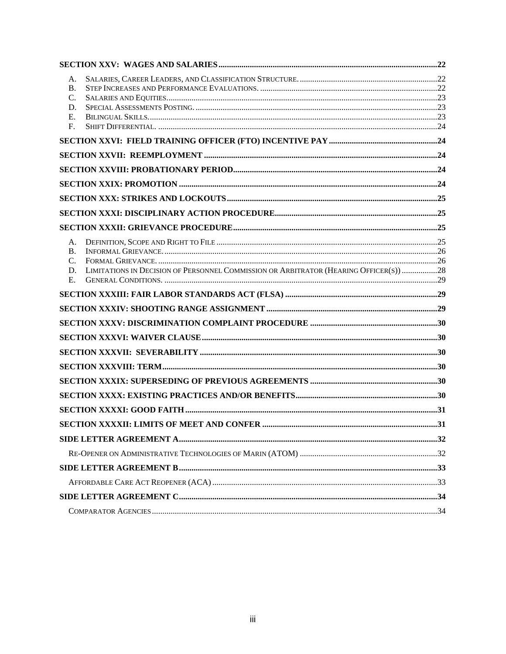| А.                                                                                                |  |
|---------------------------------------------------------------------------------------------------|--|
| <b>B.</b>                                                                                         |  |
| C.<br>D.                                                                                          |  |
| Е.                                                                                                |  |
| F.                                                                                                |  |
|                                                                                                   |  |
|                                                                                                   |  |
|                                                                                                   |  |
|                                                                                                   |  |
|                                                                                                   |  |
|                                                                                                   |  |
|                                                                                                   |  |
| A.                                                                                                |  |
| <b>B.</b>                                                                                         |  |
| C.<br>LIMITATIONS IN DECISION OF PERSONNEL COMMISSION OR ARBITRATOR (HEARING OFFICER(S)) 28<br>D. |  |
| Е.                                                                                                |  |
|                                                                                                   |  |
|                                                                                                   |  |
|                                                                                                   |  |
|                                                                                                   |  |
|                                                                                                   |  |
|                                                                                                   |  |
|                                                                                                   |  |
|                                                                                                   |  |
|                                                                                                   |  |
|                                                                                                   |  |
|                                                                                                   |  |
|                                                                                                   |  |
|                                                                                                   |  |
|                                                                                                   |  |
|                                                                                                   |  |
|                                                                                                   |  |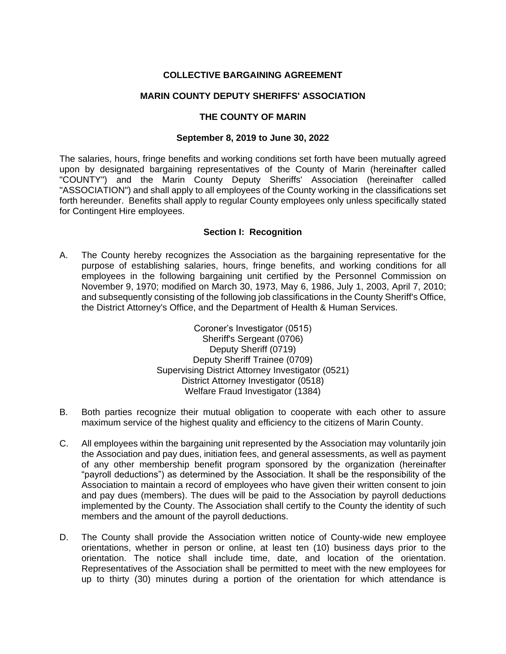# **COLLECTIVE BARGAINING AGREEMENT**

#### **MARIN COUNTY DEPUTY SHERIFFS' ASSOCIATION**

#### **THE COUNTY OF MARIN**

#### **September 8, 2019 to June 30, 2022**

The salaries, hours, fringe benefits and working conditions set forth have been mutually agreed upon by designated bargaining representatives of the County of Marin (hereinafter called "COUNTY") and the Marin County Deputy Sheriffs' Association (hereinafter called "ASSOCIATION") and shall apply to all employees of the County working in the classifications set forth hereunder. Benefits shall apply to regular County employees only unless specifically stated for Contingent Hire employees.

#### **Section I: Recognition**

<span id="page-4-0"></span>A. The County hereby recognizes the Association as the bargaining representative for the purpose of establishing salaries, hours, fringe benefits, and working conditions for all employees in the following bargaining unit certified by the Personnel Commission on November 9, 1970; modified on March 30, 1973, May 6, 1986, July 1, 2003, April 7, 2010; and subsequently consisting of the following job classifications in the County Sheriff's Office, the District Attorney's Office, and the Department of Health & Human Services.

> Coroner's Investigator (0515) Sheriff's Sergeant (0706) Deputy Sheriff (0719) Deputy Sheriff Trainee (0709) Supervising District Attorney Investigator (0521) District Attorney Investigator (0518) Welfare Fraud Investigator (1384)

- B. Both parties recognize their mutual obligation to cooperate with each other to assure maximum service of the highest quality and efficiency to the citizens of Marin County.
- C. All employees within the bargaining unit represented by the Association may voluntarily join the Association and pay dues, initiation fees, and general assessments, as well as payment of any other membership benefit program sponsored by the organization (hereinafter "payroll deductions") as determined by the Association. It shall be the responsibility of the Association to maintain a record of employees who have given their written consent to join and pay dues (members). The dues will be paid to the Association by payroll deductions implemented by the County. The Association shall certify to the County the identity of such members and the amount of the payroll deductions.
- D. The County shall provide the Association written notice of County-wide new employee orientations, whether in person or online, at least ten (10) business days prior to the orientation. The notice shall include time, date, and location of the orientation. Representatives of the Association shall be permitted to meet with the new employees for up to thirty (30) minutes during a portion of the orientation for which attendance is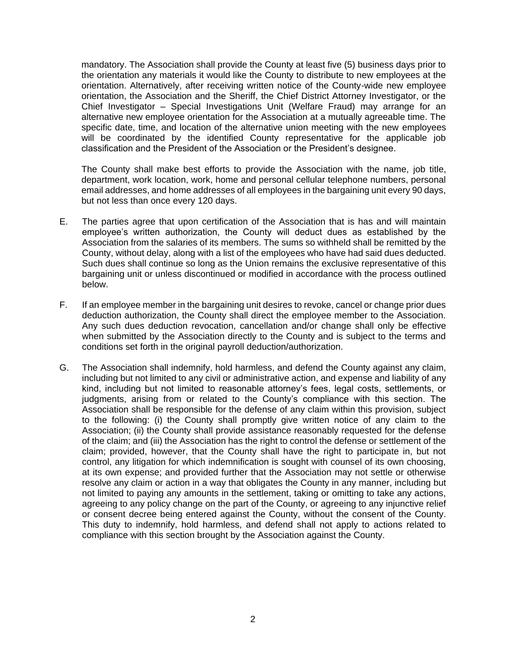mandatory. The Association shall provide the County at least five (5) business days prior to the orientation any materials it would like the County to distribute to new employees at the orientation. Alternatively, after receiving written notice of the County-wide new employee orientation, the Association and the Sheriff, the Chief District Attorney Investigator, or the Chief Investigator – Special Investigations Unit (Welfare Fraud) may arrange for an alternative new employee orientation for the Association at a mutually agreeable time. The specific date, time, and location of the alternative union meeting with the new employees will be coordinated by the identified County representative for the applicable job classification and the President of the Association or the President's designee.

The County shall make best efforts to provide the Association with the name, job title, department, work location, work, home and personal cellular telephone numbers, personal email addresses, and home addresses of all employees in the bargaining unit every 90 days, but not less than once every 120 days.

- E. The parties agree that upon certification of the Association that is has and will maintain employee's written authorization, the County will deduct dues as established by the Association from the salaries of its members. The sums so withheld shall be remitted by the County, without delay, along with a list of the employees who have had said dues deducted. Such dues shall continue so long as the Union remains the exclusive representative of this bargaining unit or unless discontinued or modified in accordance with the process outlined below.
- F. If an employee member in the bargaining unit desires to revoke, cancel or change prior dues deduction authorization, the County shall direct the employee member to the Association. Any such dues deduction revocation, cancellation and/or change shall only be effective when submitted by the Association directly to the County and is subject to the terms and conditions set forth in the original payroll deduction/authorization.
- G. The Association shall indemnify, hold harmless, and defend the County against any claim, including but not limited to any civil or administrative action, and expense and liability of any kind, including but not limited to reasonable attorney's fees, legal costs, settlements, or judgments, arising from or related to the County's compliance with this section. The Association shall be responsible for the defense of any claim within this provision, subject to the following: (i) the County shall promptly give written notice of any claim to the Association; (ii) the County shall provide assistance reasonably requested for the defense of the claim; and (iii) the Association has the right to control the defense or settlement of the claim; provided, however, that the County shall have the right to participate in, but not control, any litigation for which indemnification is sought with counsel of its own choosing, at its own expense; and provided further that the Association may not settle or otherwise resolve any claim or action in a way that obligates the County in any manner, including but not limited to paying any amounts in the settlement, taking or omitting to take any actions, agreeing to any policy change on the part of the County, or agreeing to any injunctive relief or consent decree being entered against the County, without the consent of the County. This duty to indemnify, hold harmless, and defend shall not apply to actions related to compliance with this section brought by the Association against the County.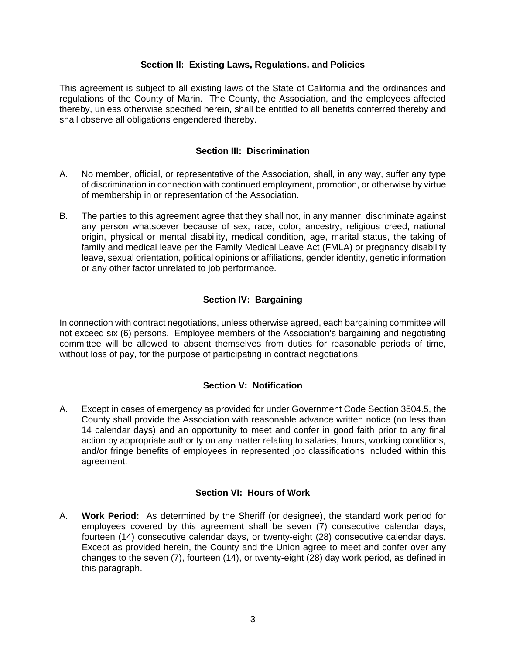#### **Section II: Existing Laws, Regulations, and Policies**

<span id="page-6-0"></span>This agreement is subject to all existing laws of the State of California and the ordinances and regulations of the County of Marin. The County, the Association, and the employees affected thereby, unless otherwise specified herein, shall be entitled to all benefits conferred thereby and shall observe all obligations engendered thereby.

## **Section III: Discrimination**

- <span id="page-6-1"></span>A. No member, official, or representative of the Association, shall, in any way, suffer any type of discrimination in connection with continued employment, promotion, or otherwise by virtue of membership in or representation of the Association.
- B. The parties to this agreement agree that they shall not, in any manner, discriminate against any person whatsoever because of sex, race, color, ancestry, religious creed, national origin, physical or mental disability, medical condition, age, marital status, the taking of family and medical leave per the Family Medical Leave Act (FMLA) or pregnancy disability leave, sexual orientation, political opinions or affiliations, gender identity, genetic information or any other factor unrelated to job performance.

# **Section IV: Bargaining**

<span id="page-6-2"></span>In connection with contract negotiations, unless otherwise agreed, each bargaining committee will not exceed six (6) persons. Employee members of the Association's bargaining and negotiating committee will be allowed to absent themselves from duties for reasonable periods of time, without loss of pay, for the purpose of participating in contract negotiations.

# **Section V: Notification**

<span id="page-6-3"></span>A. Except in cases of emergency as provided for under Government Code Section 3504.5, the County shall provide the Association with reasonable advance written notice (no less than 14 calendar days) and an opportunity to meet and confer in good faith prior to any final action by appropriate authority on any matter relating to salaries, hours, working conditions, and/or fringe benefits of employees in represented job classifications included within this agreement.

# **Section VI: Hours of Work**

<span id="page-6-4"></span>A. **Work Period:** As determined by the Sheriff (or designee), the standard work period for employees covered by this agreement shall be seven (7) consecutive calendar days, fourteen (14) consecutive calendar days, or twenty-eight (28) consecutive calendar days. Except as provided herein, the County and the Union agree to meet and confer over any changes to the seven (7), fourteen (14), or twenty-eight (28) day work period, as defined in this paragraph.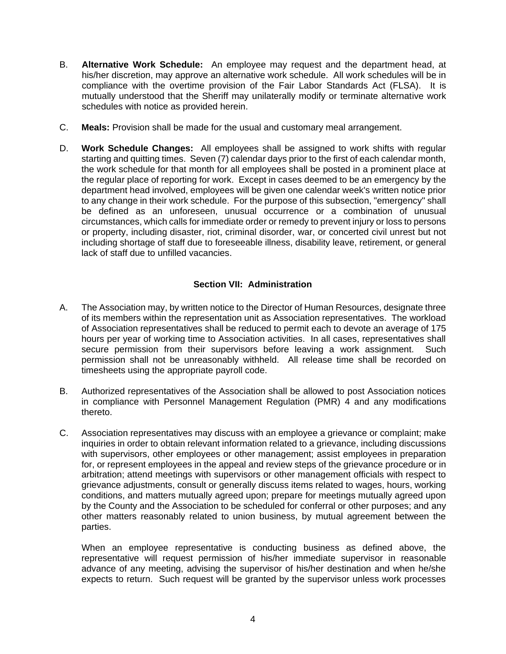- B. **Alternative Work Schedule:** An employee may request and the department head, at his/her discretion, may approve an alternative work schedule. All work schedules will be in compliance with the overtime provision of the Fair Labor Standards Act (FLSA). It is mutually understood that the Sheriff may unilaterally modify or terminate alternative work schedules with notice as provided herein.
- C. **Meals:** Provision shall be made for the usual and customary meal arrangement.
- D. **Work Schedule Changes:** All employees shall be assigned to work shifts with regular starting and quitting times. Seven (7) calendar days prior to the first of each calendar month, the work schedule for that month for all employees shall be posted in a prominent place at the regular place of reporting for work. Except in cases deemed to be an emergency by the department head involved, employees will be given one calendar week's written notice prior to any change in their work schedule. For the purpose of this subsection, "emergency" shall be defined as an unforeseen, unusual occurrence or a combination of unusual circumstances, which calls for immediate order or remedy to prevent injury or loss to persons or property, including disaster, riot, criminal disorder, war, or concerted civil unrest but not including shortage of staff due to foreseeable illness, disability leave, retirement, or general lack of staff due to unfilled vacancies.

# **Section VII: Administration**

- <span id="page-7-0"></span>A. The Association may, by written notice to the Director of Human Resources, designate three of its members within the representation unit as Association representatives. The workload of Association representatives shall be reduced to permit each to devote an average of 175 hours per year of working time to Association activities. In all cases, representatives shall secure permission from their supervisors before leaving a work assignment. Such permission shall not be unreasonably withheld. All release time shall be recorded on timesheets using the appropriate payroll code.
- B. Authorized representatives of the Association shall be allowed to post Association notices in compliance with Personnel Management Regulation (PMR) 4 and any modifications thereto.
- C. Association representatives may discuss with an employee a grievance or complaint; make inquiries in order to obtain relevant information related to a grievance, including discussions with supervisors, other employees or other management; assist employees in preparation for, or represent employees in the appeal and review steps of the grievance procedure or in arbitration; attend meetings with supervisors or other management officials with respect to grievance adjustments, consult or generally discuss items related to wages, hours, working conditions, and matters mutually agreed upon; prepare for meetings mutually agreed upon by the County and the Association to be scheduled for conferral or other purposes; and any other matters reasonably related to union business, by mutual agreement between the parties.

When an employee representative is conducting business as defined above, the representative will request permission of his/her immediate supervisor in reasonable advance of any meeting, advising the supervisor of his/her destination and when he/she expects to return. Such request will be granted by the supervisor unless work processes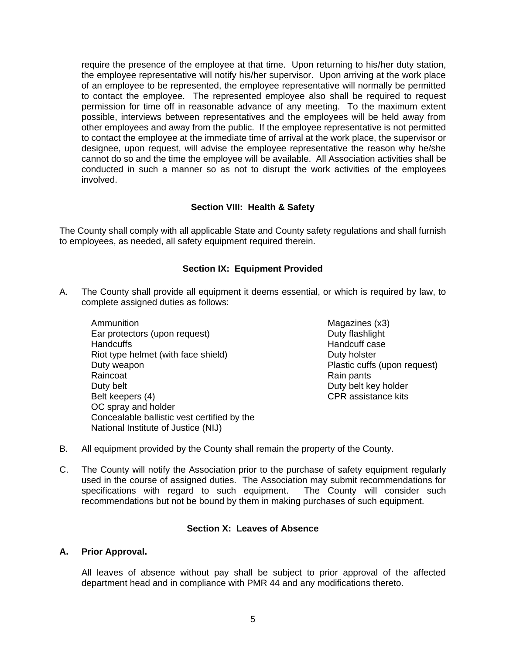require the presence of the employee at that time. Upon returning to his/her duty station, the employee representative will notify his/her supervisor. Upon arriving at the work place of an employee to be represented, the employee representative will normally be permitted to contact the employee. The represented employee also shall be required to request permission for time off in reasonable advance of any meeting. To the maximum extent possible, interviews between representatives and the employees will be held away from other employees and away from the public. If the employee representative is not permitted to contact the employee at the immediate time of arrival at the work place, the supervisor or designee, upon request, will advise the employee representative the reason why he/she cannot do so and the time the employee will be available. All Association activities shall be conducted in such a manner so as not to disrupt the work activities of the employees involved.

# **Section VIII: Health & Safety**

<span id="page-8-0"></span>The County shall comply with all applicable State and County safety regulations and shall furnish to employees, as needed, all safety equipment required therein.

# **Section IX: Equipment Provided**

- <span id="page-8-1"></span>A. The County shall provide all equipment it deems essential, or which is required by law, to complete assigned duties as follows:
	- **Ammunition** Ear protectors (upon request) **Handcuffs** Riot type helmet (with face shield) Duty weapon Raincoat Duty belt Belt keepers (4) OC spray and holder Concealable ballistic vest certified by the National Institute of Justice (NIJ)

Magazines (x3) Duty flashlight Handcuff case Duty holster Plastic cuffs (upon request) Rain pants Duty belt key holder CPR assistance kits

- B. All equipment provided by the County shall remain the property of the County.
- C. The County will notify the Association prior to the purchase of safety equipment regularly used in the course of assigned duties. The Association may submit recommendations for specifications with regard to such equipment. The County will consider such recommendations but not be bound by them in making purchases of such equipment.

#### **Section X: Leaves of Absence**

#### <span id="page-8-3"></span><span id="page-8-2"></span>**A. Prior Approval.**

All leaves of absence without pay shall be subject to prior approval of the affected department head and in compliance with PMR 44 and any modifications thereto.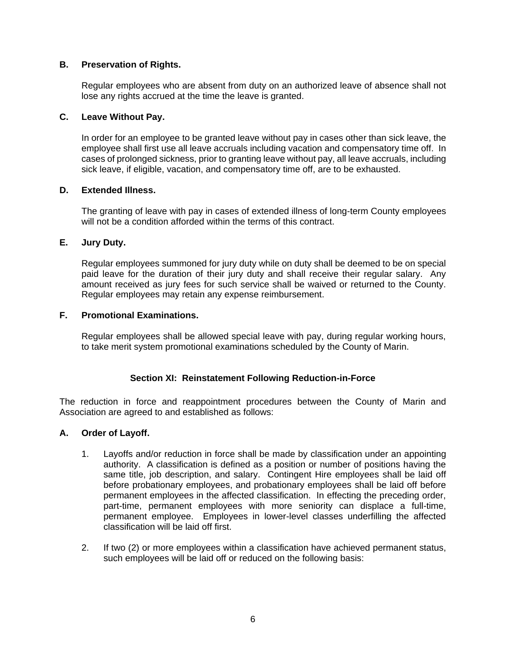# <span id="page-9-0"></span>**B. Preservation of Rights.**

Regular employees who are absent from duty on an authorized leave of absence shall not lose any rights accrued at the time the leave is granted.

# <span id="page-9-1"></span>**C. Leave Without Pay.**

In order for an employee to be granted leave without pay in cases other than sick leave, the employee shall first use all leave accruals including vacation and compensatory time off. In cases of prolonged sickness, prior to granting leave without pay, all leave accruals, including sick leave, if eligible, vacation, and compensatory time off, are to be exhausted.

# <span id="page-9-2"></span>**D. Extended Illness.**

The granting of leave with pay in cases of extended illness of long-term County employees will not be a condition afforded within the terms of this contract.

# <span id="page-9-3"></span>**E. Jury Duty.**

Regular employees summoned for jury duty while on duty shall be deemed to be on special paid leave for the duration of their jury duty and shall receive their regular salary. Any amount received as jury fees for such service shall be waived or returned to the County. Regular employees may retain any expense reimbursement.

# <span id="page-9-4"></span>**F. Promotional Examinations.**

Regular employees shall be allowed special leave with pay, during regular working hours, to take merit system promotional examinations scheduled by the County of Marin.

# **Section XI: Reinstatement Following Reduction-in-Force**

<span id="page-9-5"></span>The reduction in force and reappointment procedures between the County of Marin and Association are agreed to and established as follows:

#### <span id="page-9-6"></span>**A. Order of Layoff.**

- 1. Layoffs and/or reduction in force shall be made by classification under an appointing authority. A classification is defined as a position or number of positions having the same title, job description, and salary. Contingent Hire employees shall be laid off before probationary employees, and probationary employees shall be laid off before permanent employees in the affected classification. In effecting the preceding order, part-time, permanent employees with more seniority can displace a full-time, permanent employee. Employees in lower-level classes underfilling the affected classification will be laid off first.
- 2. If two (2) or more employees within a classification have achieved permanent status, such employees will be laid off or reduced on the following basis: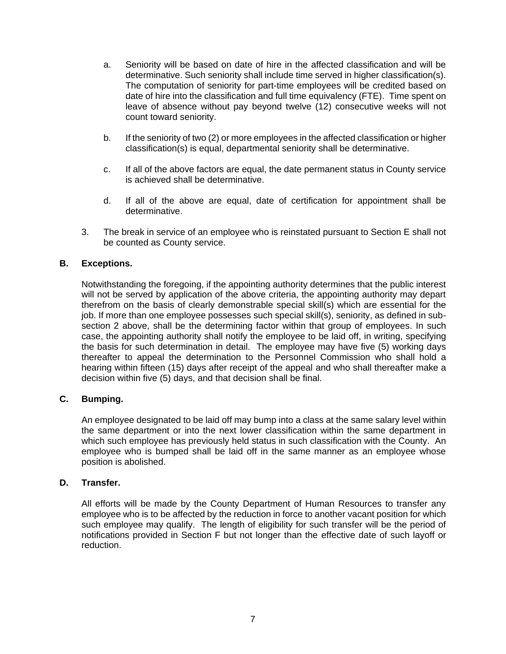- a. Seniority will be based on date of hire in the affected classification and will be determinative. Such seniority shall include time served in higher classification(s). The computation of seniority for part-time employees will be credited based on date of hire into the classification and full time equivalency (FTE). Time spent on leave of absence without pay beyond twelve (12) consecutive weeks will not count toward seniority.
- b. If the seniority of two (2) or more employees in the affected classification or higher classification(s) is equal, departmental seniority shall be determinative.
- c. If all of the above factors are equal, the date permanent status in County service is achieved shall be determinative.
- d. If all of the above are equal, date of certification for appointment shall be determinative.
- 3. The break in service of an employee who is reinstated pursuant to Section E shall not be counted as County service.

#### <span id="page-10-0"></span>**B. Exceptions.**

Notwithstanding the foregoing, if the appointing authority determines that the public interest will not be served by application of the above criteria, the appointing authority may depart therefrom on the basis of clearly demonstrable special skill(s) which are essential for the job. If more than one employee possesses such special skill(s), seniority, as defined in subsection 2 above, shall be the determining factor within that group of employees. In such case, the appointing authority shall notify the employee to be laid off, in writing, specifying the basis for such determination in detail. The employee may have five (5) working days thereafter to appeal the determination to the Personnel Commission who shall hold a hearing within fifteen (15) days after receipt of the appeal and who shall thereafter make a decision within five (5) days, and that decision shall be final.

#### <span id="page-10-1"></span>**C. Bumping.**

An employee designated to be laid off may bump into a class at the same salary level within the same department or into the next lower classification within the same department in which such employee has previously held status in such classification with the County. An employee who is bumped shall be laid off in the same manner as an employee whose position is abolished.

#### <span id="page-10-2"></span>**D. Transfer.**

All efforts will be made by the County Department of Human Resources to transfer any employee who is to be affected by the reduction in force to another vacant position for which such employee may qualify. The length of eligibility for such transfer will be the period of notifications provided in Section F but not longer than the effective date of such layoff or reduction.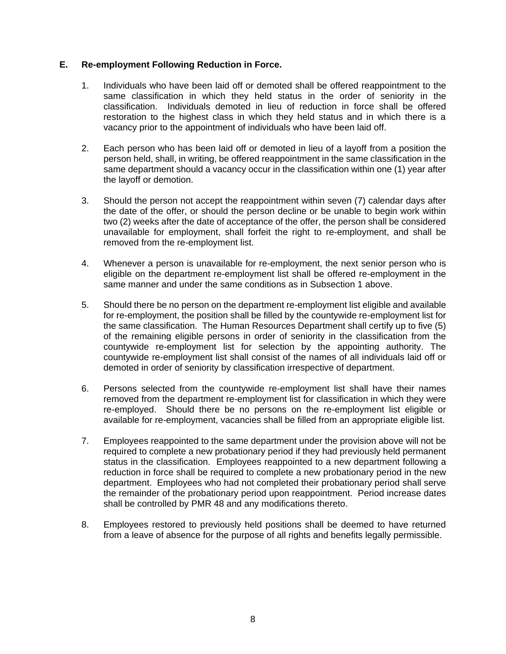# <span id="page-11-0"></span>**E. Re-employment Following Reduction in Force.**

- 1. Individuals who have been laid off or demoted shall be offered reappointment to the same classification in which they held status in the order of seniority in the classification. Individuals demoted in lieu of reduction in force shall be offered restoration to the highest class in which they held status and in which there is a vacancy prior to the appointment of individuals who have been laid off.
- 2. Each person who has been laid off or demoted in lieu of a layoff from a position the person held, shall, in writing, be offered reappointment in the same classification in the same department should a vacancy occur in the classification within one (1) year after the layoff or demotion.
- 3. Should the person not accept the reappointment within seven (7) calendar days after the date of the offer, or should the person decline or be unable to begin work within two (2) weeks after the date of acceptance of the offer, the person shall be considered unavailable for employment, shall forfeit the right to re-employment, and shall be removed from the re-employment list.
- 4. Whenever a person is unavailable for re-employment, the next senior person who is eligible on the department re-employment list shall be offered re-employment in the same manner and under the same conditions as in Subsection 1 above.
- 5. Should there be no person on the department re-employment list eligible and available for re-employment, the position shall be filled by the countywide re-employment list for the same classification. The Human Resources Department shall certify up to five (5) of the remaining eligible persons in order of seniority in the classification from the countywide re-employment list for selection by the appointing authority. The countywide re-employment list shall consist of the names of all individuals laid off or demoted in order of seniority by classification irrespective of department.
- 6. Persons selected from the countywide re-employment list shall have their names removed from the department re-employment list for classification in which they were re-employed. Should there be no persons on the re-employment list eligible or available for re-employment, vacancies shall be filled from an appropriate eligible list.
- 7. Employees reappointed to the same department under the provision above will not be required to complete a new probationary period if they had previously held permanent status in the classification. Employees reappointed to a new department following a reduction in force shall be required to complete a new probationary period in the new department. Employees who had not completed their probationary period shall serve the remainder of the probationary period upon reappointment. Period increase dates shall be controlled by PMR 48 and any modifications thereto.
- 8. Employees restored to previously held positions shall be deemed to have returned from a leave of absence for the purpose of all rights and benefits legally permissible.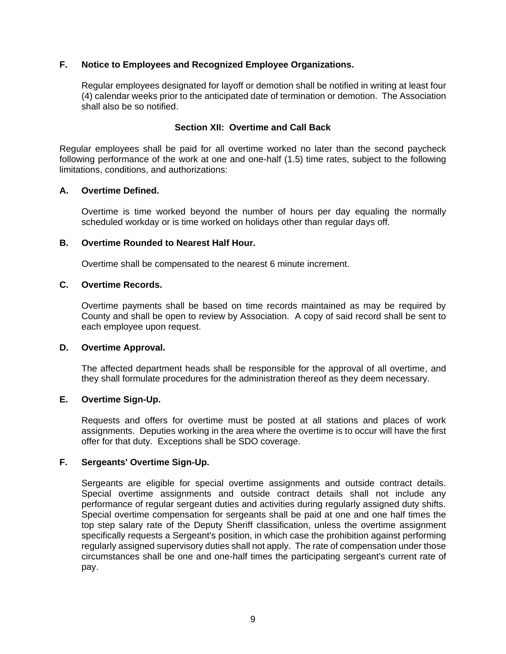# <span id="page-12-0"></span>**F. Notice to Employees and Recognized Employee Organizations.**

Regular employees designated for layoff or demotion shall be notified in writing at least four (4) calendar weeks prior to the anticipated date of termination or demotion. The Association shall also be so notified.

## **Section XII: Overtime and Call Back**

<span id="page-12-1"></span>Regular employees shall be paid for all overtime worked no later than the second paycheck following performance of the work at one and one-half (1.5) time rates, subject to the following limitations, conditions, and authorizations:

#### <span id="page-12-2"></span>**A. Overtime Defined.**

Overtime is time worked beyond the number of hours per day equaling the normally scheduled workday or is time worked on holidays other than regular days off.

#### <span id="page-12-3"></span>**B. Overtime Rounded to Nearest Half Hour.**

Overtime shall be compensated to the nearest 6 minute increment.

#### <span id="page-12-4"></span>**C. Overtime Records.**

Overtime payments shall be based on time records maintained as may be required by County and shall be open to review by Association. A copy of said record shall be sent to each employee upon request.

#### <span id="page-12-5"></span>**D. Overtime Approval.**

The affected department heads shall be responsible for the approval of all overtime, and they shall formulate procedures for the administration thereof as they deem necessary.

## <span id="page-12-6"></span>**E. Overtime Sign-Up.**

Requests and offers for overtime must be posted at all stations and places of work assignments. Deputies working in the area where the overtime is to occur will have the first offer for that duty. Exceptions shall be SDO coverage.

#### <span id="page-12-7"></span>**F. Sergeants' Overtime Sign-Up.**

Sergeants are eligible for special overtime assignments and outside contract details. Special overtime assignments and outside contract details shall not include any performance of regular sergeant duties and activities during regularly assigned duty shifts. Special overtime compensation for sergeants shall be paid at one and one half times the top step salary rate of the Deputy Sheriff classification, unless the overtime assignment specifically requests a Sergeant's position, in which case the prohibition against performing regularly assigned supervisory duties shall not apply. The rate of compensation under those circumstances shall be one and one-half times the participating sergeant's current rate of pay.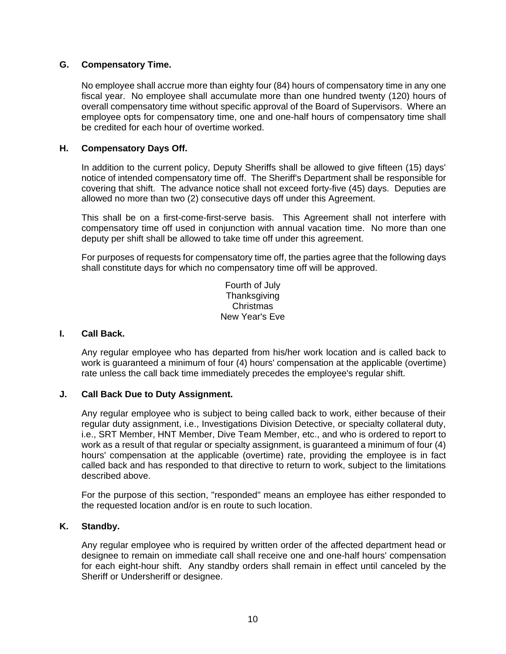# <span id="page-13-0"></span>**G. Compensatory Time.**

No employee shall accrue more than eighty four (84) hours of compensatory time in any one fiscal year. No employee shall accumulate more than one hundred twenty (120) hours of overall compensatory time without specific approval of the Board of Supervisors. Where an employee opts for compensatory time, one and one-half hours of compensatory time shall be credited for each hour of overtime worked.

# <span id="page-13-1"></span>**H. Compensatory Days Off.**

In addition to the current policy, Deputy Sheriffs shall be allowed to give fifteen (15) days' notice of intended compensatory time off. The Sheriff's Department shall be responsible for covering that shift. The advance notice shall not exceed forty-five (45) days. Deputies are allowed no more than two (2) consecutive days off under this Agreement.

This shall be on a first-come-first-serve basis. This Agreement shall not interfere with compensatory time off used in conjunction with annual vacation time. No more than one deputy per shift shall be allowed to take time off under this agreement.

For purposes of requests for compensatory time off, the parties agree that the following days shall constitute days for which no compensatory time off will be approved.

> Fourth of July **Thanksgiving** Christmas New Year's Eve

#### <span id="page-13-2"></span>**I. Call Back.**

Any regular employee who has departed from his/her work location and is called back to work is guaranteed a minimum of four (4) hours' compensation at the applicable (overtime) rate unless the call back time immediately precedes the employee's regular shift.

# <span id="page-13-3"></span>**J. Call Back Due to Duty Assignment.**

Any regular employee who is subject to being called back to work, either because of their regular duty assignment, i.e., Investigations Division Detective, or specialty collateral duty, i.e., SRT Member, HNT Member, Dive Team Member, etc., and who is ordered to report to work as a result of that regular or specialty assignment, is guaranteed a minimum of four (4) hours' compensation at the applicable (overtime) rate, providing the employee is in fact called back and has responded to that directive to return to work, subject to the limitations described above.

For the purpose of this section, "responded" means an employee has either responded to the requested location and/or is en route to such location.

#### <span id="page-13-4"></span>**K. Standby.**

Any regular employee who is required by written order of the affected department head or designee to remain on immediate call shall receive one and one-half hours' compensation for each eight-hour shift. Any standby orders shall remain in effect until canceled by the Sheriff or Undersheriff or designee.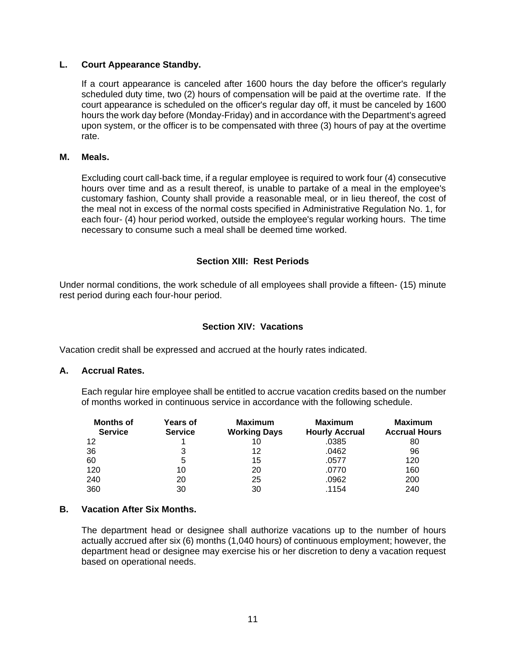#### <span id="page-14-0"></span>**L. Court Appearance Standby.**

If a court appearance is canceled after 1600 hours the day before the officer's regularly scheduled duty time, two (2) hours of compensation will be paid at the overtime rate. If the court appearance is scheduled on the officer's regular day off, it must be canceled by 1600 hours the work day before (Monday-Friday) and in accordance with the Department's agreed upon system, or the officer is to be compensated with three (3) hours of pay at the overtime rate.

#### <span id="page-14-1"></span>**M. Meals.**

Excluding court call-back time, if a regular employee is required to work four (4) consecutive hours over time and as a result thereof, is unable to partake of a meal in the employee's customary fashion, County shall provide a reasonable meal, or in lieu thereof, the cost of the meal not in excess of the normal costs specified in Administrative Regulation No. 1, for each four- (4) hour period worked, outside the employee's regular working hours. The time necessary to consume such a meal shall be deemed time worked.

#### **Section XIII: Rest Periods**

<span id="page-14-2"></span>Under normal conditions, the work schedule of all employees shall provide a fifteen- (15) minute rest period during each four-hour period.

#### **Section XIV: Vacations**

<span id="page-14-3"></span>Vacation credit shall be expressed and accrued at the hourly rates indicated.

#### <span id="page-14-4"></span>**A. Accrual Rates.**

Each regular hire employee shall be entitled to accrue vacation credits based on the number of months worked in continuous service in accordance with the following schedule.

| <b>Months of</b><br><b>Service</b> | <b>Years of</b><br><b>Service</b> | <b>Maximum</b><br><b>Working Days</b> | <b>Maximum</b><br><b>Hourly Accrual</b> | <b>Maximum</b><br><b>Accrual Hours</b> |
|------------------------------------|-----------------------------------|---------------------------------------|-----------------------------------------|----------------------------------------|
| 12                                 |                                   | 10                                    | .0385                                   | 80                                     |
| 36                                 | 3                                 | 12                                    | .0462                                   | 96                                     |
| 60                                 | 5                                 | 15                                    | .0577                                   | 120                                    |
| 120                                | 10                                | 20                                    | .0770                                   | 160                                    |
| 240                                | 20                                | 25                                    | .0962                                   | 200                                    |
| 360                                | 30                                | 30                                    | .1154                                   | 240                                    |

#### <span id="page-14-5"></span>**B. Vacation After Six Months.**

The department head or designee shall authorize vacations up to the number of hours actually accrued after six (6) months (1,040 hours) of continuous employment; however, the department head or designee may exercise his or her discretion to deny a vacation request based on operational needs.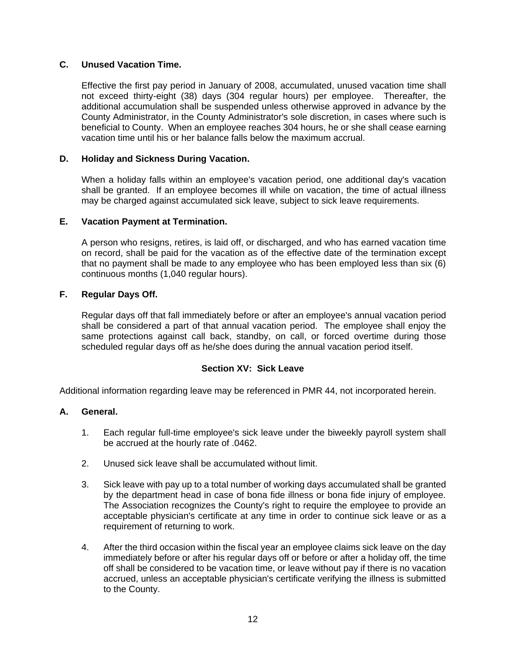# <span id="page-15-0"></span>**C. Unused Vacation Time.**

Effective the first pay period in January of 2008, accumulated, unused vacation time shall not exceed thirty-eight (38) days (304 regular hours) per employee. Thereafter, the additional accumulation shall be suspended unless otherwise approved in advance by the County Administrator, in the County Administrator's sole discretion, in cases where such is beneficial to County. When an employee reaches 304 hours, he or she shall cease earning vacation time until his or her balance falls below the maximum accrual.

# <span id="page-15-1"></span>**D. Holiday and Sickness During Vacation.**

When a holiday falls within an employee's vacation period, one additional day's vacation shall be granted. If an employee becomes ill while on vacation, the time of actual illness may be charged against accumulated sick leave, subject to sick leave requirements.

# <span id="page-15-2"></span>**E. Vacation Payment at Termination.**

A person who resigns, retires, is laid off, or discharged, and who has earned vacation time on record, shall be paid for the vacation as of the effective date of the termination except that no payment shall be made to any employee who has been employed less than six (6) continuous months (1,040 regular hours).

# <span id="page-15-3"></span>**F. Regular Days Off.**

Regular days off that fall immediately before or after an employee's annual vacation period shall be considered a part of that annual vacation period. The employee shall enjoy the same protections against call back, standby, on call, or forced overtime during those scheduled regular days off as he/she does during the annual vacation period itself.

# **Section XV: Sick Leave**

<span id="page-15-4"></span>Additional information regarding leave may be referenced in PMR 44, not incorporated herein.

# <span id="page-15-5"></span>**A. General.**

- 1. Each regular full-time employee's sick leave under the biweekly payroll system shall be accrued at the hourly rate of .0462.
- 2. Unused sick leave shall be accumulated without limit.
- 3. Sick leave with pay up to a total number of working days accumulated shall be granted by the department head in case of bona fide illness or bona fide injury of employee. The Association recognizes the County's right to require the employee to provide an acceptable physician's certificate at any time in order to continue sick leave or as a requirement of returning to work.
- 4. After the third occasion within the fiscal year an employee claims sick leave on the day immediately before or after his regular days off or before or after a holiday off, the time off shall be considered to be vacation time, or leave without pay if there is no vacation accrued, unless an acceptable physician's certificate verifying the illness is submitted to the County.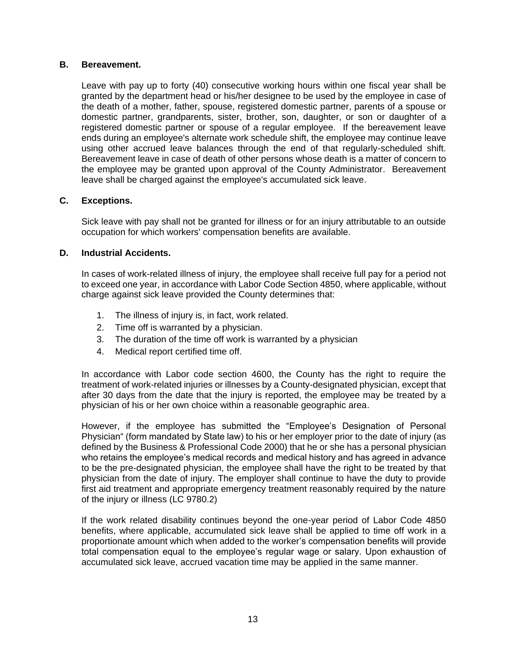# <span id="page-16-0"></span>**B. Bereavement.**

Leave with pay up to forty (40) consecutive working hours within one fiscal year shall be granted by the department head or his/her designee to be used by the employee in case of the death of a mother, father, spouse, registered domestic partner, parents of a spouse or domestic partner, grandparents, sister, brother, son, daughter, or son or daughter of a registered domestic partner or spouse of a regular employee. If the bereavement leave ends during an employee's alternate work schedule shift, the employee may continue leave using other accrued leave balances through the end of that regularly-scheduled shift. Bereavement leave in case of death of other persons whose death is a matter of concern to the employee may be granted upon approval of the County Administrator. Bereavement leave shall be charged against the employee's accumulated sick leave.

# <span id="page-16-1"></span>**C. Exceptions.**

Sick leave with pay shall not be granted for illness or for an injury attributable to an outside occupation for which workers' compensation benefits are available.

#### <span id="page-16-2"></span>**D. Industrial Accidents.**

In cases of work-related illness of injury, the employee shall receive full pay for a period not to exceed one year, in accordance with Labor Code Section 4850, where applicable, without charge against sick leave provided the County determines that:

- 1. The illness of injury is, in fact, work related.
- 2. Time off is warranted by a physician.
- 3. The duration of the time off work is warranted by a physician
- 4. Medical report certified time off.

In accordance with Labor code section 4600, the County has the right to require the treatment of work-related injuries or illnesses by a County-designated physician, except that after 30 days from the date that the injury is reported, the employee may be treated by a physician of his or her own choice within a reasonable geographic area.

However, if the employee has submitted the "Employee's Designation of Personal Physician" (form mandated by State law) to his or her employer prior to the date of injury (as defined by the Business & Professional Code 2000) that he or she has a personal physician who retains the employee's medical records and medical history and has agreed in advance to be the pre-designated physician, the employee shall have the right to be treated by that physician from the date of injury. The employer shall continue to have the duty to provide first aid treatment and appropriate emergency treatment reasonably required by the nature of the injury or illness (LC 9780.2)

If the work related disability continues beyond the one-year period of Labor Code 4850 benefits, where applicable, accumulated sick leave shall be applied to time off work in a proportionate amount which when added to the worker's compensation benefits will provide total compensation equal to the employee's regular wage or salary. Upon exhaustion of accumulated sick leave, accrued vacation time may be applied in the same manner.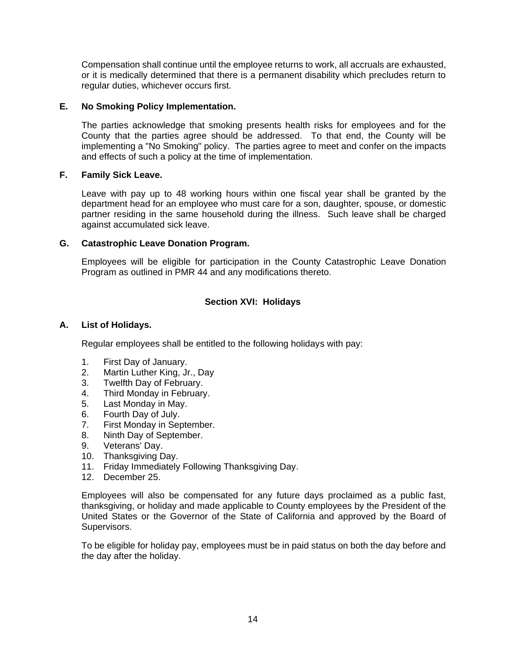Compensation shall continue until the employee returns to work, all accruals are exhausted, or it is medically determined that there is a permanent disability which precludes return to regular duties, whichever occurs first.

# <span id="page-17-0"></span>**E. No Smoking Policy Implementation.**

The parties acknowledge that smoking presents health risks for employees and for the County that the parties agree should be addressed. To that end, the County will be implementing a "No Smoking" policy. The parties agree to meet and confer on the impacts and effects of such a policy at the time of implementation.

# <span id="page-17-1"></span>**F. Family Sick Leave.**

Leave with pay up to 48 working hours within one fiscal year shall be granted by the department head for an employee who must care for a son, daughter, spouse, or domestic partner residing in the same household during the illness. Such leave shall be charged against accumulated sick leave.

# <span id="page-17-2"></span>**G. Catastrophic Leave Donation Program.**

Employees will be eligible for participation in the County Catastrophic Leave Donation Program as outlined in PMR 44 and any modifications thereto.

# **Section XVI: Holidays**

# <span id="page-17-4"></span><span id="page-17-3"></span>**A. List of Holidays.**

Regular employees shall be entitled to the following holidays with pay:

- 1. First Day of January.
- 2. Martin Luther King, Jr., Day
- 3. Twelfth Day of February.
- 4. Third Monday in February.
- 5. Last Monday in May.
- 6. Fourth Day of July.
- 7. First Monday in September.
- 8. Ninth Day of September.
- 9. Veterans' Day.
- 10. Thanksgiving Day.
- 11. Friday Immediately Following Thanksgiving Day.
- 12. December 25.

Employees will also be compensated for any future days proclaimed as a public fast, thanksgiving, or holiday and made applicable to County employees by the President of the United States or the Governor of the State of California and approved by the Board of Supervisors.

To be eligible for holiday pay, employees must be in paid status on both the day before and the day after the holiday.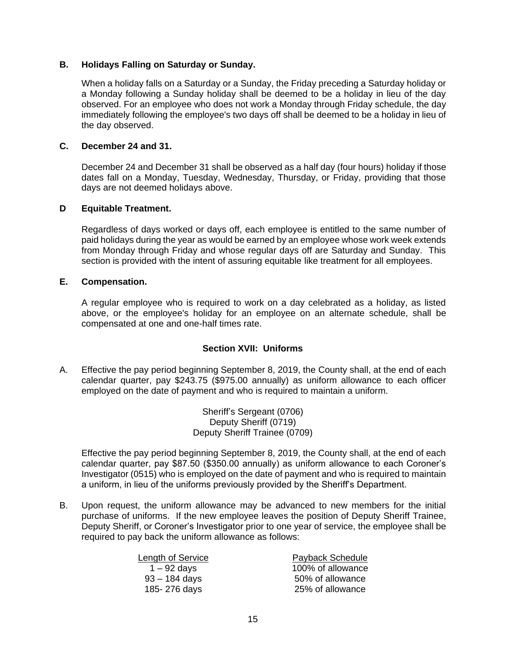#### <span id="page-18-0"></span>**B. Holidays Falling on Saturday or Sunday.**

When a holiday falls on a Saturday or a Sunday, the Friday preceding a Saturday holiday or a Monday following a Sunday holiday shall be deemed to be a holiday in lieu of the day observed. For an employee who does not work a Monday through Friday schedule, the day immediately following the employee's two days off shall be deemed to be a holiday in lieu of the day observed.

# <span id="page-18-1"></span>**C. December 24 and 31.**

December 24 and December 31 shall be observed as a half day (four hours) holiday if those dates fall on a Monday, Tuesday, Wednesday, Thursday, or Friday, providing that those days are not deemed holidays above.

#### <span id="page-18-2"></span>**D Equitable Treatment.**

Regardless of days worked or days off, each employee is entitled to the same number of paid holidays during the year as would be earned by an employee whose work week extends from Monday through Friday and whose regular days off are Saturday and Sunday. This section is provided with the intent of assuring equitable like treatment for all employees.

#### <span id="page-18-3"></span>**E. Compensation.**

A regular employee who is required to work on a day celebrated as a holiday, as listed above, or the employee's holiday for an employee on an alternate schedule, shall be compensated at one and one-half times rate.

# **Section XVII: Uniforms**

<span id="page-18-4"></span>A. Effective the pay period beginning September 8, 2019, the County shall, at the end of each calendar quarter, pay \$243.75 (\$975.00 annually) as uniform allowance to each officer employed on the date of payment and who is required to maintain a uniform.

> Sheriff's Sergeant (0706) Deputy Sheriff (0719) Deputy Sheriff Trainee (0709)

Effective the pay period beginning September 8, 2019, the County shall, at the end of each calendar quarter, pay \$87.50 (\$350.00 annually) as uniform allowance to each Coroner's Investigator (0515) who is employed on the date of payment and who is required to maintain a uniform, in lieu of the uniforms previously provided by the Sheriff's Department.

B. Upon request, the uniform allowance may be advanced to new members for the initial purchase of uniforms. If the new employee leaves the position of Deputy Sheriff Trainee, Deputy Sheriff, or Coroner's Investigator prior to one year of service, the employee shall be required to pay back the uniform allowance as follows:

| Payback Schedule  |
|-------------------|
| 100% of allowance |
| 50% of allowance  |
| 25% of allowance  |
|                   |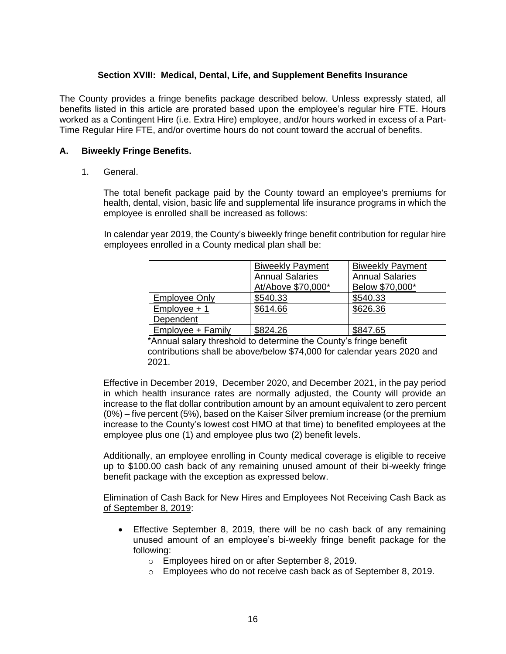# **Section XVIII: Medical, Dental, Life, and Supplement Benefits Insurance**

<span id="page-19-0"></span>The County provides a fringe benefits package described below. Unless expressly stated, all benefits listed in this article are prorated based upon the employee's regular hire FTE. Hours worked as a Contingent Hire (i.e. Extra Hire) employee, and/or hours worked in excess of a Part-Time Regular Hire FTE, and/or overtime hours do not count toward the accrual of benefits.

#### <span id="page-19-1"></span>**A. Biweekly Fringe Benefits.**

1. General.

The total benefit package paid by the County toward an employee's premiums for health, dental, vision, basic life and supplemental life insurance programs in which the employee is enrolled shall be increased as follows:

In calendar year 2019, the County's biweekly fringe benefit contribution for regular hire employees enrolled in a County medical plan shall be:

|                      | <b>Biweekly Payment</b> | <b>Biweekly Payment</b> |
|----------------------|-------------------------|-------------------------|
|                      | <b>Annual Salaries</b>  | <b>Annual Salaries</b>  |
|                      | At/Above \$70,000*      | Below \$70,000*         |
| <b>Employee Only</b> | \$540.33                | \$540.33                |
| $Employee + 1$       | \$614.66                | \$626.36                |
| Dependent            |                         |                         |
| Employee + Family    | \$824.26                | \$847.65                |

\*Annual salary threshold to determine the County's fringe benefit contributions shall be above/below \$74,000 for calendar years 2020 and 2021.

Effective in December 2019, December 2020, and December 2021, in the pay period in which health insurance rates are normally adjusted, the County will provide an increase to the flat dollar contribution amount by an amount equivalent to zero percent (0%) – five percent (5%), based on the Kaiser Silver premium increase (or the premium increase to the County's lowest cost HMO at that time) to benefited employees at the employee plus one (1) and employee plus two (2) benefit levels.

Additionally, an employee enrolling in County medical coverage is eligible to receive up to \$100.00 cash back of any remaining unused amount of their bi-weekly fringe benefit package with the exception as expressed below.

Elimination of Cash Back for New Hires and Employees Not Receiving Cash Back as of September 8, 2019:

- Effective September 8, 2019, there will be no cash back of any remaining unused amount of an employee's bi-weekly fringe benefit package for the following:
	- o Employees hired on or after September 8, 2019.
	- o Employees who do not receive cash back as of September 8, 2019.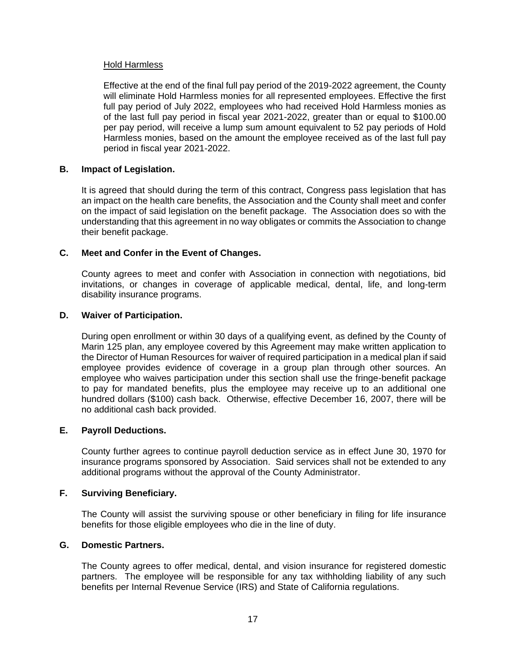# Hold Harmless

Effective at the end of the final full pay period of the 2019-2022 agreement, the County will eliminate Hold Harmless monies for all represented employees. Effective the first full pay period of July 2022, employees who had received Hold Harmless monies as of the last full pay period in fiscal year 2021-2022, greater than or equal to \$100.00 per pay period, will receive a lump sum amount equivalent to 52 pay periods of Hold Harmless monies, based on the amount the employee received as of the last full pay period in fiscal year 2021-2022.

# <span id="page-20-0"></span>**B. Impact of Legislation.**

It is agreed that should during the term of this contract, Congress pass legislation that has an impact on the health care benefits, the Association and the County shall meet and confer on the impact of said legislation on the benefit package. The Association does so with the understanding that this agreement in no way obligates or commits the Association to change their benefit package.

# <span id="page-20-1"></span>**C. Meet and Confer in the Event of Changes.**

County agrees to meet and confer with Association in connection with negotiations, bid invitations, or changes in coverage of applicable medical, dental, life, and long-term disability insurance programs.

#### <span id="page-20-2"></span>**D. Waiver of Participation.**

During open enrollment or within 30 days of a qualifying event, as defined by the County of Marin 125 plan, any employee covered by this Agreement may make written application to the Director of Human Resources for waiver of required participation in a medical plan if said employee provides evidence of coverage in a group plan through other sources. An employee who waives participation under this section shall use the fringe-benefit package to pay for mandated benefits, plus the employee may receive up to an additional one hundred dollars (\$100) cash back. Otherwise, effective December 16, 2007, there will be no additional cash back provided.

#### <span id="page-20-3"></span>**E. Payroll Deductions.**

County further agrees to continue payroll deduction service as in effect June 30, 1970 for insurance programs sponsored by Association. Said services shall not be extended to any additional programs without the approval of the County Administrator.

# <span id="page-20-4"></span>**F. Surviving Beneficiary.**

The County will assist the surviving spouse or other beneficiary in filing for life insurance benefits for those eligible employees who die in the line of duty.

#### <span id="page-20-5"></span>**G. Domestic Partners.**

The County agrees to offer medical, dental, and vision insurance for registered domestic partners. The employee will be responsible for any tax withholding liability of any such benefits per Internal Revenue Service (IRS) and State of California regulations.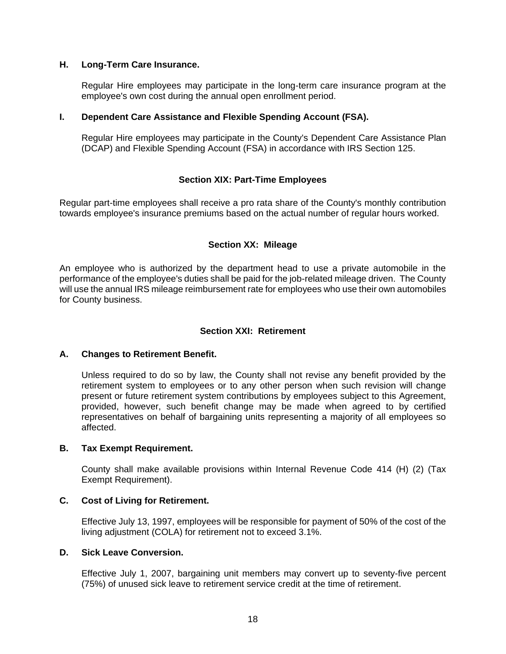#### <span id="page-21-0"></span>**H. Long-Term Care Insurance.**

Regular Hire employees may participate in the long-term care insurance program at the employee's own cost during the annual open enrollment period.

#### <span id="page-21-1"></span>**I. Dependent Care Assistance and Flexible Spending Account (FSA).**

Regular Hire employees may participate in the County's Dependent Care Assistance Plan (DCAP) and Flexible Spending Account (FSA) in accordance with IRS Section 125.

# **Section XIX: Part-Time Employees**

<span id="page-21-2"></span>Regular part-time employees shall receive a pro rata share of the County's monthly contribution towards employee's insurance premiums based on the actual number of regular hours worked.

# **Section XX: Mileage**

<span id="page-21-3"></span>An employee who is authorized by the department head to use a private automobile in the performance of the employee's duties shall be paid for the job-related mileage driven. The County will use the annual IRS mileage reimbursement rate for employees who use their own automobiles for County business.

## **Section XXI: Retirement**

#### <span id="page-21-5"></span><span id="page-21-4"></span>**A. Changes to Retirement Benefit.**

Unless required to do so by law, the County shall not revise any benefit provided by the retirement system to employees or to any other person when such revision will change present or future retirement system contributions by employees subject to this Agreement, provided, however, such benefit change may be made when agreed to by certified representatives on behalf of bargaining units representing a majority of all employees so affected.

#### <span id="page-21-6"></span>**B. Tax Exempt Requirement.**

County shall make available provisions within Internal Revenue Code 414 (H) (2) (Tax Exempt Requirement).

#### <span id="page-21-7"></span>**C. Cost of Living for Retirement.**

Effective July 13, 1997, employees will be responsible for payment of 50% of the cost of the living adjustment (COLA) for retirement not to exceed 3.1%.

#### <span id="page-21-8"></span>**D. Sick Leave Conversion.**

Effective July 1, 2007, bargaining unit members may convert up to seventy-five percent (75%) of unused sick leave to retirement service credit at the time of retirement.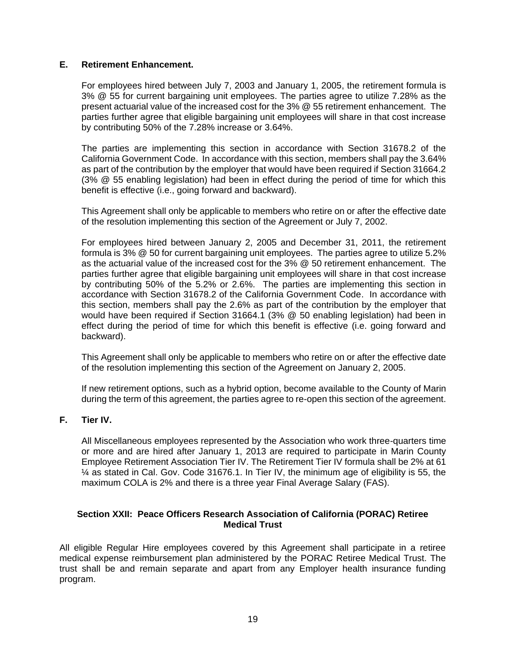## <span id="page-22-0"></span>**E. Retirement Enhancement.**

For employees hired between July 7, 2003 and January 1, 2005, the retirement formula is 3% @ 55 for current bargaining unit employees. The parties agree to utilize 7.28% as the present actuarial value of the increased cost for the 3% @ 55 retirement enhancement. The parties further agree that eligible bargaining unit employees will share in that cost increase by contributing 50% of the 7.28% increase or 3.64%.

The parties are implementing this section in accordance with Section 31678.2 of the California Government Code. In accordance with this section, members shall pay the 3.64% as part of the contribution by the employer that would have been required if Section 31664.2 (3% @ 55 enabling legislation) had been in effect during the period of time for which this benefit is effective (i.e., going forward and backward).

This Agreement shall only be applicable to members who retire on or after the effective date of the resolution implementing this section of the Agreement or July 7, 2002.

For employees hired between January 2, 2005 and December 31, 2011, the retirement formula is 3% @ 50 for current bargaining unit employees. The parties agree to utilize 5.2% as the actuarial value of the increased cost for the 3% @ 50 retirement enhancement. The parties further agree that eligible bargaining unit employees will share in that cost increase by contributing 50% of the 5.2% or 2.6%. The parties are implementing this section in accordance with Section 31678.2 of the California Government Code. In accordance with this section, members shall pay the 2.6% as part of the contribution by the employer that would have been required if Section 31664.1 (3% @ 50 enabling legislation) had been in effect during the period of time for which this benefit is effective (i.e. going forward and backward).

This Agreement shall only be applicable to members who retire on or after the effective date of the resolution implementing this section of the Agreement on January 2, 2005.

If new retirement options, such as a hybrid option, become available to the County of Marin during the term of this agreement, the parties agree to re-open this section of the agreement.

#### <span id="page-22-1"></span>**F. Tier IV.**

All Miscellaneous employees represented by the Association who work three-quarters time or more and are hired after January 1, 2013 are required to participate in Marin County Employee Retirement Association Tier IV. The Retirement Tier IV formula shall be 2% at 61 ¼ as stated in Cal. Gov. Code 31676.1. In Tier IV, the minimum age of eligibility is 55, the maximum COLA is 2% and there is a three year Final Average Salary (FAS).

#### <span id="page-22-2"></span>**Section XXII: Peace Officers Research Association of California (PORAC) Retiree Medical Trust**

All eligible Regular Hire employees covered by this Agreement shall participate in a retiree medical expense reimbursement plan administered by the PORAC Retiree Medical Trust. The trust shall be and remain separate and apart from any Employer health insurance funding program.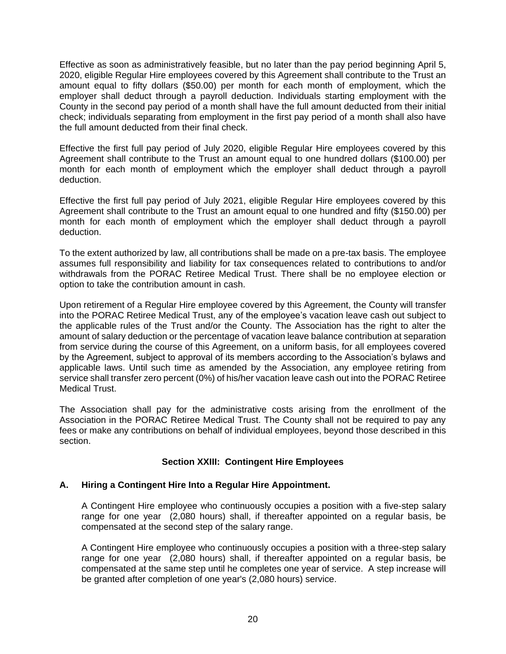Effective as soon as administratively feasible, but no later than the pay period beginning April 5, 2020, eligible Regular Hire employees covered by this Agreement shall contribute to the Trust an amount equal to fifty dollars (\$50.00) per month for each month of employment, which the employer shall deduct through a payroll deduction. Individuals starting employment with the County in the second pay period of a month shall have the full amount deducted from their initial check; individuals separating from employment in the first pay period of a month shall also have the full amount deducted from their final check.

Effective the first full pay period of July 2020, eligible Regular Hire employees covered by this Agreement shall contribute to the Trust an amount equal to one hundred dollars (\$100.00) per month for each month of employment which the employer shall deduct through a payroll deduction.

Effective the first full pay period of July 2021, eligible Regular Hire employees covered by this Agreement shall contribute to the Trust an amount equal to one hundred and fifty (\$150.00) per month for each month of employment which the employer shall deduct through a payroll deduction.

To the extent authorized by law, all contributions shall be made on a pre-tax basis. The employee assumes full responsibility and liability for tax consequences related to contributions to and/or withdrawals from the PORAC Retiree Medical Trust. There shall be no employee election or option to take the contribution amount in cash.

Upon retirement of a Regular Hire employee covered by this Agreement, the County will transfer into the PORAC Retiree Medical Trust, any of the employee's vacation leave cash out subject to the applicable rules of the Trust and/or the County. The Association has the right to alter the amount of salary deduction or the percentage of vacation leave balance contribution at separation from service during the course of this Agreement, on a uniform basis, for all employees covered by the Agreement, subject to approval of its members according to the Association's bylaws and applicable laws. Until such time as amended by the Association, any employee retiring from service shall transfer zero percent (0%) of his/her vacation leave cash out into the PORAC Retiree Medical Trust.

The Association shall pay for the administrative costs arising from the enrollment of the Association in the PORAC Retiree Medical Trust. The County shall not be required to pay any fees or make any contributions on behalf of individual employees, beyond those described in this section.

# **Section XXIII: Contingent Hire Employees**

# <span id="page-23-1"></span><span id="page-23-0"></span>**A. Hiring a Contingent Hire Into a Regular Hire Appointment.**

A Contingent Hire employee who continuously occupies a position with a five-step salary range for one year (2,080 hours) shall, if thereafter appointed on a regular basis, be compensated at the second step of the salary range.

A Contingent Hire employee who continuously occupies a position with a three-step salary range for one year (2,080 hours) shall, if thereafter appointed on a regular basis, be compensated at the same step until he completes one year of service. A step increase will be granted after completion of one year's (2,080 hours) service.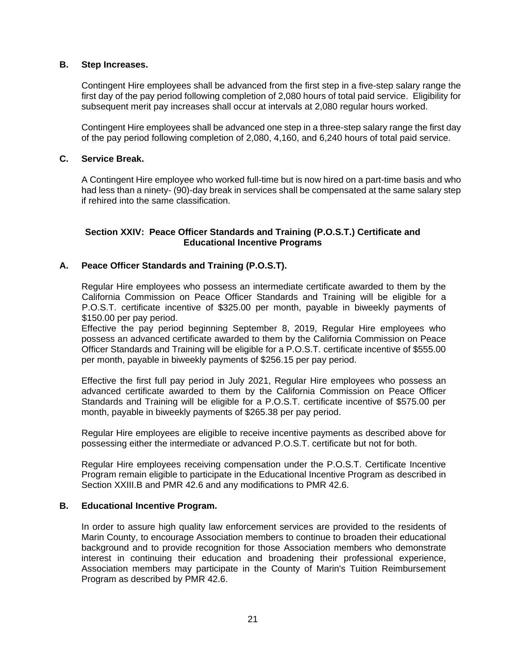# <span id="page-24-0"></span>**B. Step Increases.**

Contingent Hire employees shall be advanced from the first step in a five-step salary range the first day of the pay period following completion of 2,080 hours of total paid service. Eligibility for subsequent merit pay increases shall occur at intervals at 2,080 regular hours worked.

Contingent Hire employees shall be advanced one step in a three-step salary range the first day of the pay period following completion of 2,080, 4,160, and 6,240 hours of total paid service.

## <span id="page-24-1"></span>**C. Service Break.**

A Contingent Hire employee who worked full-time but is now hired on a part-time basis and who had less than a ninety- (90)-day break in services shall be compensated at the same salary step if rehired into the same classification.

## <span id="page-24-2"></span>**Section XXIV: Peace Officer Standards and Training (P.O.S.T.) Certificate and Educational Incentive Programs**

# <span id="page-24-3"></span>**A. Peace Officer Standards and Training (P.O.S.T).**

Regular Hire employees who possess an intermediate certificate awarded to them by the California Commission on Peace Officer Standards and Training will be eligible for a P.O.S.T. certificate incentive of \$325.00 per month, payable in biweekly payments of \$150.00 per pay period.

Effective the pay period beginning September 8, 2019, Regular Hire employees who possess an advanced certificate awarded to them by the California Commission on Peace Officer Standards and Training will be eligible for a P.O.S.T. certificate incentive of \$555.00 per month, payable in biweekly payments of \$256.15 per pay period.

Effective the first full pay period in July 2021, Regular Hire employees who possess an advanced certificate awarded to them by the California Commission on Peace Officer Standards and Training will be eligible for a P.O.S.T. certificate incentive of \$575.00 per month, payable in biweekly payments of \$265.38 per pay period.

Regular Hire employees are eligible to receive incentive payments as described above for possessing either the intermediate or advanced P.O.S.T. certificate but not for both.

Regular Hire employees receiving compensation under the P.O.S.T. Certificate Incentive Program remain eligible to participate in the Educational Incentive Program as described in Section XXIII.B and PMR 42.6 and any modifications to PMR 42.6.

#### <span id="page-24-4"></span>**B. Educational Incentive Program.**

In order to assure high quality law enforcement services are provided to the residents of Marin County, to encourage Association members to continue to broaden their educational background and to provide recognition for those Association members who demonstrate interest in continuing their education and broadening their professional experience, Association members may participate in the County of Marin's Tuition Reimbursement Program as described by PMR 42.6.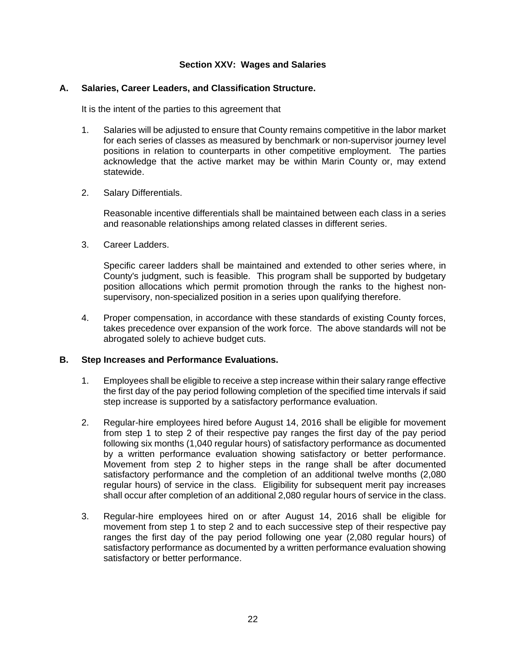## **Section XXV: Wages and Salaries**

#### <span id="page-25-1"></span><span id="page-25-0"></span>**A. Salaries, Career Leaders, and Classification Structure.**

It is the intent of the parties to this agreement that

- 1. Salaries will be adjusted to ensure that County remains competitive in the labor market for each series of classes as measured by benchmark or non-supervisor journey level positions in relation to counterparts in other competitive employment. The parties acknowledge that the active market may be within Marin County or, may extend statewide.
- 2. Salary Differentials.

Reasonable incentive differentials shall be maintained between each class in a series and reasonable relationships among related classes in different series.

3. Career Ladders.

Specific career ladders shall be maintained and extended to other series where, in County's judgment, such is feasible. This program shall be supported by budgetary position allocations which permit promotion through the ranks to the highest nonsupervisory, non-specialized position in a series upon qualifying therefore.

4. Proper compensation, in accordance with these standards of existing County forces, takes precedence over expansion of the work force. The above standards will not be abrogated solely to achieve budget cuts.

#### <span id="page-25-2"></span>**B. Step Increases and Performance Evaluations.**

- 1. Employees shall be eligible to receive a step increase within their salary range effective the first day of the pay period following completion of the specified time intervals if said step increase is supported by a satisfactory performance evaluation.
- 2. Regular-hire employees hired before August 14, 2016 shall be eligible for movement from step 1 to step 2 of their respective pay ranges the first day of the pay period following six months (1,040 regular hours) of satisfactory performance as documented by a written performance evaluation showing satisfactory or better performance. Movement from step 2 to higher steps in the range shall be after documented satisfactory performance and the completion of an additional twelve months (2,080 regular hours) of service in the class. Eligibility for subsequent merit pay increases shall occur after completion of an additional 2,080 regular hours of service in the class.
- 3. Regular-hire employees hired on or after August 14, 2016 shall be eligible for movement from step 1 to step 2 and to each successive step of their respective pay ranges the first day of the pay period following one year (2,080 regular hours) of satisfactory performance as documented by a written performance evaluation showing satisfactory or better performance.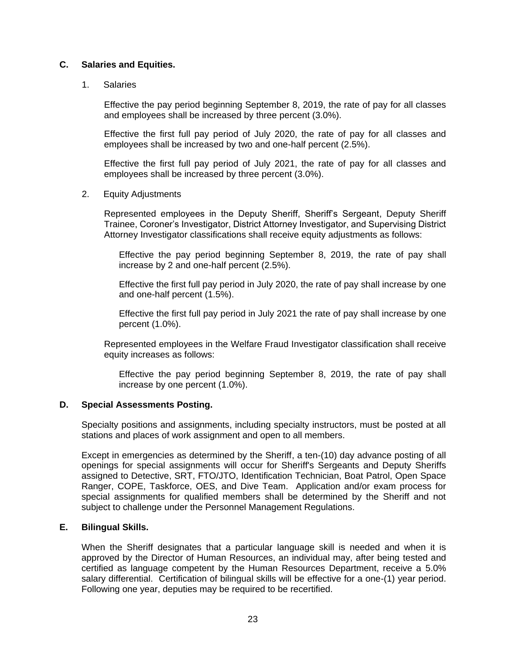## <span id="page-26-0"></span>**C. Salaries and Equities.**

#### 1. Salaries

Effective the pay period beginning September 8, 2019, the rate of pay for all classes and employees shall be increased by three percent (3.0%).

Effective the first full pay period of July 2020, the rate of pay for all classes and employees shall be increased by two and one-half percent (2.5%).

Effective the first full pay period of July 2021, the rate of pay for all classes and employees shall be increased by three percent (3.0%).

#### 2. Equity Adjustments

Represented employees in the Deputy Sheriff, Sheriff's Sergeant, Deputy Sheriff Trainee, Coroner's Investigator, District Attorney Investigator, and Supervising District Attorney Investigator classifications shall receive equity adjustments as follows:

Effective the pay period beginning September 8, 2019, the rate of pay shall increase by 2 and one-half percent (2.5%).

Effective the first full pay period in July 2020, the rate of pay shall increase by one and one-half percent (1.5%).

Effective the first full pay period in July 2021 the rate of pay shall increase by one percent (1.0%).

Represented employees in the Welfare Fraud Investigator classification shall receive equity increases as follows:

Effective the pay period beginning September 8, 2019, the rate of pay shall increase by one percent (1.0%).

#### <span id="page-26-1"></span>**D. Special Assessments Posting.**

Specialty positions and assignments, including specialty instructors, must be posted at all stations and places of work assignment and open to all members.

Except in emergencies as determined by the Sheriff, a ten-(10) day advance posting of all openings for special assignments will occur for Sheriff's Sergeants and Deputy Sheriffs assigned to Detective, SRT, FTO/JTO, Identification Technician, Boat Patrol, Open Space Ranger, COPE, Taskforce, OES, and Dive Team. Application and/or exam process for special assignments for qualified members shall be determined by the Sheriff and not subject to challenge under the Personnel Management Regulations.

# <span id="page-26-2"></span>**E. Bilingual Skills.**

When the Sheriff designates that a particular language skill is needed and when it is approved by the Director of Human Resources, an individual may, after being tested and certified as language competent by the Human Resources Department, receive a 5.0% salary differential. Certification of bilingual skills will be effective for a one-(1) year period. Following one year, deputies may be required to be recertified.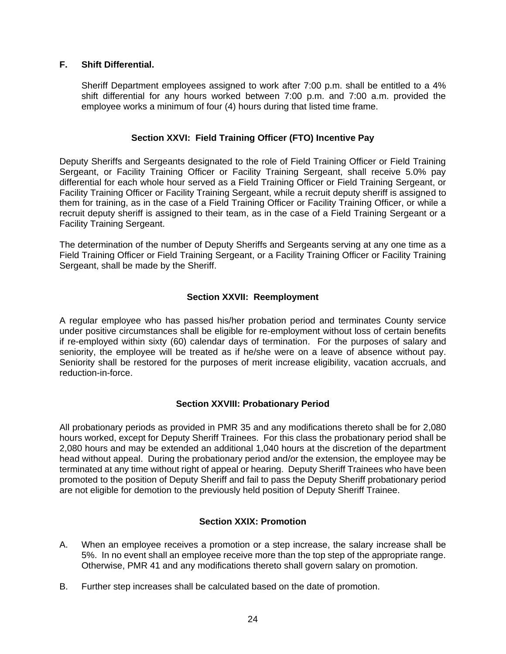# <span id="page-27-0"></span>**F. Shift Differential.**

Sheriff Department employees assigned to work after 7:00 p.m. shall be entitled to a 4% shift differential for any hours worked between 7:00 p.m. and 7:00 a.m. provided the employee works a minimum of four (4) hours during that listed time frame.

#### **Section XXVI: Field Training Officer (FTO) Incentive Pay**

<span id="page-27-1"></span>Deputy Sheriffs and Sergeants designated to the role of Field Training Officer or Field Training Sergeant, or Facility Training Officer or Facility Training Sergeant, shall receive 5.0% pay differential for each whole hour served as a Field Training Officer or Field Training Sergeant, or Facility Training Officer or Facility Training Sergeant, while a recruit deputy sheriff is assigned to them for training, as in the case of a Field Training Officer or Facility Training Officer, or while a recruit deputy sheriff is assigned to their team, as in the case of a Field Training Sergeant or a Facility Training Sergeant.

The determination of the number of Deputy Sheriffs and Sergeants serving at any one time as a Field Training Officer or Field Training Sergeant, or a Facility Training Officer or Facility Training Sergeant, shall be made by the Sheriff.

#### **Section XXVII: Reemployment**

<span id="page-27-2"></span>A regular employee who has passed his/her probation period and terminates County service under positive circumstances shall be eligible for re-employment without loss of certain benefits if re-employed within sixty (60) calendar days of termination. For the purposes of salary and seniority, the employee will be treated as if he/she were on a leave of absence without pay. Seniority shall be restored for the purposes of merit increase eligibility, vacation accruals, and reduction-in-force.

# **Section XXVIII: Probationary Period**

<span id="page-27-3"></span>All probationary periods as provided in PMR 35 and any modifications thereto shall be for 2,080 hours worked, except for Deputy Sheriff Trainees. For this class the probationary period shall be 2,080 hours and may be extended an additional 1,040 hours at the discretion of the department head without appeal. During the probationary period and/or the extension, the employee may be terminated at any time without right of appeal or hearing. Deputy Sheriff Trainees who have been promoted to the position of Deputy Sheriff and fail to pass the Deputy Sheriff probationary period are not eligible for demotion to the previously held position of Deputy Sheriff Trainee.

#### **Section XXIX: Promotion**

- <span id="page-27-4"></span>A. When an employee receives a promotion or a step increase, the salary increase shall be 5%. In no event shall an employee receive more than the top step of the appropriate range. Otherwise, PMR 41 and any modifications thereto shall govern salary on promotion.
- B. Further step increases shall be calculated based on the date of promotion.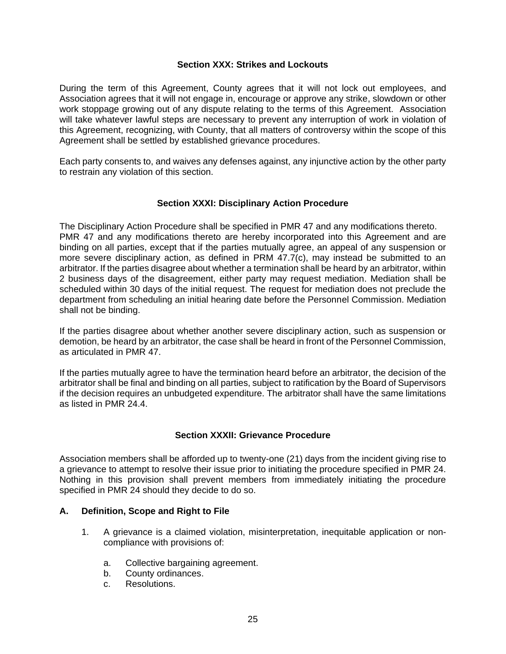#### **Section XXX: Strikes and Lockouts**

<span id="page-28-0"></span>During the term of this Agreement, County agrees that it will not lock out employees, and Association agrees that it will not engage in, encourage or approve any strike, slowdown or other work stoppage growing out of any dispute relating to the terms of this Agreement. Association will take whatever lawful steps are necessary to prevent any interruption of work in violation of this Agreement, recognizing, with County, that all matters of controversy within the scope of this Agreement shall be settled by established grievance procedures.

Each party consents to, and waives any defenses against, any injunctive action by the other party to restrain any violation of this section.

#### **Section XXXI: Disciplinary Action Procedure**

<span id="page-28-1"></span>The Disciplinary Action Procedure shall be specified in PMR 47 and any modifications thereto. PMR 47 and any modifications thereto are hereby incorporated into this Agreement and are binding on all parties, except that if the parties mutually agree, an appeal of any suspension or more severe disciplinary action, as defined in PRM 47.7(c), may instead be submitted to an arbitrator. If the parties disagree about whether a termination shall be heard by an arbitrator, within 2 business days of the disagreement, either party may request mediation. Mediation shall be scheduled within 30 days of the initial request. The request for mediation does not preclude the department from scheduling an initial hearing date before the Personnel Commission. Mediation shall not be binding.

If the parties disagree about whether another severe disciplinary action, such as suspension or demotion, be heard by an arbitrator, the case shall be heard in front of the Personnel Commission, as articulated in PMR 47.

If the parties mutually agree to have the termination heard before an arbitrator, the decision of the arbitrator shall be final and binding on all parties, subject to ratification by the Board of Supervisors if the decision requires an unbudgeted expenditure. The arbitrator shall have the same limitations as listed in PMR 24.4.

# **Section XXXII: Grievance Procedure**

<span id="page-28-2"></span>Association members shall be afforded up to twenty-one (21) days from the incident giving rise to a grievance to attempt to resolve their issue prior to initiating the procedure specified in PMR 24. Nothing in this provision shall prevent members from immediately initiating the procedure specified in PMR 24 should they decide to do so.

# <span id="page-28-3"></span>**A. Definition, Scope and Right to File**

- 1. A grievance is a claimed violation, misinterpretation, inequitable application or noncompliance with provisions of:
	- a. Collective bargaining agreement.
	- b. County ordinances.
	- c. Resolutions.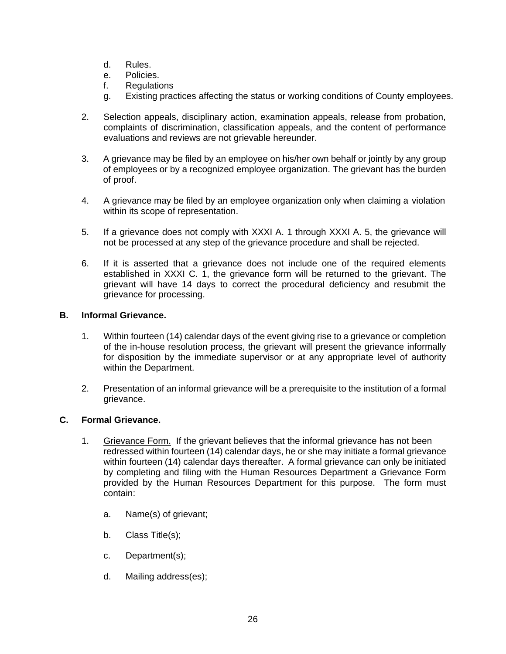- d. Rules.
- e. Policies.
- f. Regulations
- g. Existing practices affecting the status or working conditions of County employees.
- 2. Selection appeals, disciplinary action, examination appeals, release from probation, complaints of discrimination, classification appeals, and the content of performance evaluations and reviews are not grievable hereunder.
- 3. A grievance may be filed by an employee on his/her own behalf or jointly by any group of employees or by a recognized employee organization. The grievant has the burden of proof.
- 4. A grievance may be filed by an employee organization only when claiming a violation within its scope of representation.
- 5. If a grievance does not comply with XXXI A. 1 through XXXI A. 5, the grievance will not be processed at any step of the grievance procedure and shall be rejected.
- 6. If it is asserted that a grievance does not include one of the required elements established in XXXI C. 1, the grievance form will be returned to the grievant. The grievant will have 14 days to correct the procedural deficiency and resubmit the grievance for processing.

# <span id="page-29-0"></span>**B. Informal Grievance.**

- 1. Within fourteen (14) calendar days of the event giving rise to a grievance or completion of the in-house resolution process, the grievant will present the grievance informally for disposition by the immediate supervisor or at any appropriate level of authority within the Department.
- 2. Presentation of an informal grievance will be a prerequisite to the institution of a formal grievance.

# <span id="page-29-1"></span>**C. Formal Grievance.**

- 1. Grievance Form. If the grievant believes that the informal grievance has not been redressed within fourteen (14) calendar days, he or she may initiate a formal grievance within fourteen (14) calendar days thereafter. A formal grievance can only be initiated by completing and filing with the Human Resources Department a Grievance Form provided by the Human Resources Department for this purpose. The form must contain:
	- a. Name(s) of grievant;
	- b. Class Title(s);
	- c. Department(s);
	- d. Mailing address(es);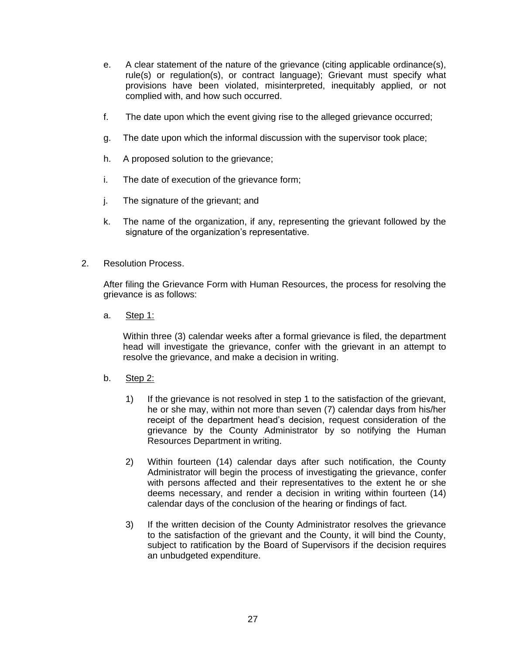- e. A clear statement of the nature of the grievance (citing applicable ordinance(s), rule(s) or regulation(s), or contract language); Grievant must specify what provisions have been violated, misinterpreted, inequitably applied, or not complied with, and how such occurred.
- f. The date upon which the event giving rise to the alleged grievance occurred;
- g. The date upon which the informal discussion with the supervisor took place;
- h. A proposed solution to the grievance;
- i. The date of execution of the grievance form;
- j. The signature of the grievant; and
- k. The name of the organization, if any, representing the grievant followed by the signature of the organization's representative.
- 2. Resolution Process.

After filing the Grievance Form with Human Resources, the process for resolving the grievance is as follows:

a. Step 1:

Within three (3) calendar weeks after a formal grievance is filed, the department head will investigate the grievance, confer with the grievant in an attempt to resolve the grievance, and make a decision in writing.

- b. Step 2:
	- 1) If the grievance is not resolved in step 1 to the satisfaction of the grievant, he or she may, within not more than seven (7) calendar days from his/her receipt of the department head's decision, request consideration of the grievance by the County Administrator by so notifying the Human Resources Department in writing.
	- 2) Within fourteen (14) calendar days after such notification, the County Administrator will begin the process of investigating the grievance, confer with persons affected and their representatives to the extent he or she deems necessary, and render a decision in writing within fourteen (14) calendar days of the conclusion of the hearing or findings of fact.
	- 3) If the written decision of the County Administrator resolves the grievance to the satisfaction of the grievant and the County, it will bind the County, subject to ratification by the Board of Supervisors if the decision requires an unbudgeted expenditure.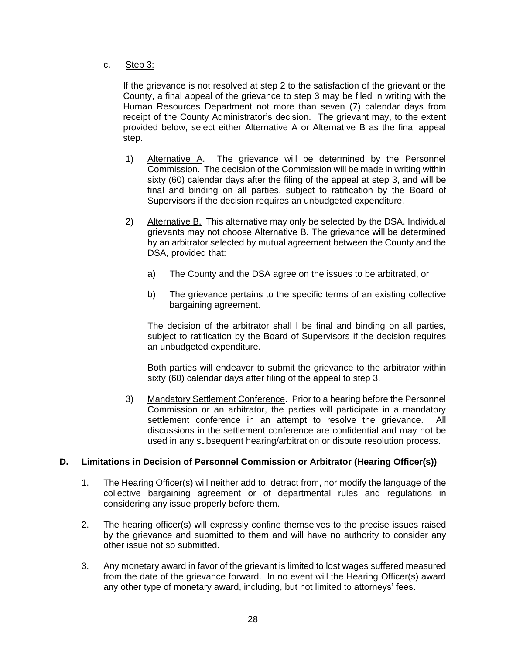#### c. Step 3:

If the grievance is not resolved at step 2 to the satisfaction of the grievant or the County, a final appeal of the grievance to step 3 may be filed in writing with the Human Resources Department not more than seven (7) calendar days from receipt of the County Administrator's decision. The grievant may, to the extent provided below, select either Alternative A or Alternative B as the final appeal step.

- 1) Alternative A. The grievance will be determined by the Personnel Commission. The decision of the Commission will be made in writing within sixty (60) calendar days after the filing of the appeal at step 3, and will be final and binding on all parties, subject to ratification by the Board of Supervisors if the decision requires an unbudgeted expenditure.
- 2) Alternative B. This alternative may only be selected by the DSA. Individual grievants may not choose Alternative B. The grievance will be determined by an arbitrator selected by mutual agreement between the County and the DSA, provided that:
	- a) The County and the DSA agree on the issues to be arbitrated, or
	- b) The grievance pertains to the specific terms of an existing collective bargaining agreement.

The decision of the arbitrator shall l be final and binding on all parties, subject to ratification by the Board of Supervisors if the decision requires an unbudgeted expenditure.

Both parties will endeavor to submit the grievance to the arbitrator within sixty (60) calendar days after filing of the appeal to step 3.

3) Mandatory Settlement Conference. Prior to a hearing before the Personnel Commission or an arbitrator, the parties will participate in a mandatory settlement conference in an attempt to resolve the grievance. All discussions in the settlement conference are confidential and may not be used in any subsequent hearing/arbitration or dispute resolution process.

# <span id="page-31-0"></span>**D. Limitations in Decision of Personnel Commission or Arbitrator (Hearing Officer(s))**

- 1. The Hearing Officer(s) will neither add to, detract from, nor modify the language of the collective bargaining agreement or of departmental rules and regulations in considering any issue properly before them.
- 2. The hearing officer(s) will expressly confine themselves to the precise issues raised by the grievance and submitted to them and will have no authority to consider any other issue not so submitted.
- 3. Any monetary award in favor of the grievant is limited to lost wages suffered measured from the date of the grievance forward. In no event will the Hearing Officer(s) award any other type of monetary award, including, but not limited to attorneys' fees.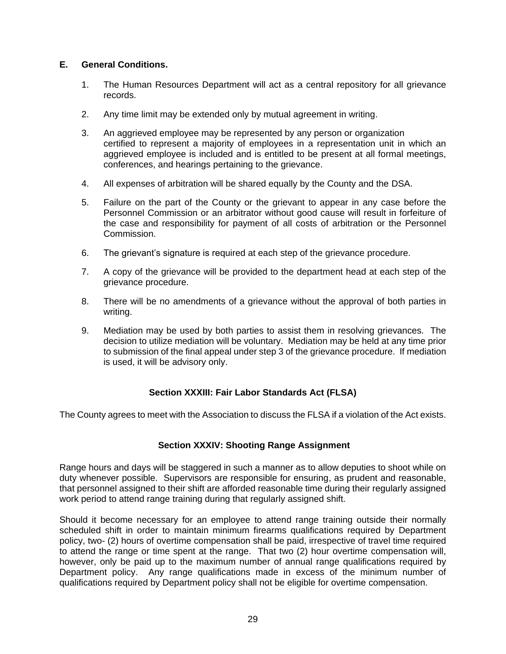# <span id="page-32-0"></span>**E. General Conditions.**

- 1. The Human Resources Department will act as a central repository for all grievance records.
- 2. Any time limit may be extended only by mutual agreement in writing.
- 3. An aggrieved employee may be represented by any person or organization certified to represent a majority of employees in a representation unit in which an aggrieved employee is included and is entitled to be present at all formal meetings, conferences, and hearings pertaining to the grievance.
- 4. All expenses of arbitration will be shared equally by the County and the DSA.
- 5. Failure on the part of the County or the grievant to appear in any case before the Personnel Commission or an arbitrator without good cause will result in forfeiture of the case and responsibility for payment of all costs of arbitration or the Personnel Commission.
- 6. The grievant's signature is required at each step of the grievance procedure.
- 7. A copy of the grievance will be provided to the department head at each step of the grievance procedure.
- 8. There will be no amendments of a grievance without the approval of both parties in writing.
- 9. Mediation may be used by both parties to assist them in resolving grievances. The decision to utilize mediation will be voluntary. Mediation may be held at any time prior to submission of the final appeal under step 3 of the grievance procedure. If mediation is used, it will be advisory only.

# **Section XXXIII: Fair Labor Standards Act (FLSA)**

<span id="page-32-1"></span>The County agrees to meet with the Association to discuss the FLSA if a violation of the Act exists.

# <span id="page-32-2"></span>**Section XXXIV: Shooting Range Assignment**

Range hours and days will be staggered in such a manner as to allow deputies to shoot while on duty whenever possible. Supervisors are responsible for ensuring, as prudent and reasonable, that personnel assigned to their shift are afforded reasonable time during their regularly assigned work period to attend range training during that regularly assigned shift.

Should it become necessary for an employee to attend range training outside their normally scheduled shift in order to maintain minimum firearms qualifications required by Department policy, two- (2) hours of overtime compensation shall be paid, irrespective of travel time required to attend the range or time spent at the range. That two (2) hour overtime compensation will, however, only be paid up to the maximum number of annual range qualifications required by Department policy. Any range qualifications made in excess of the minimum number of qualifications required by Department policy shall not be eligible for overtime compensation.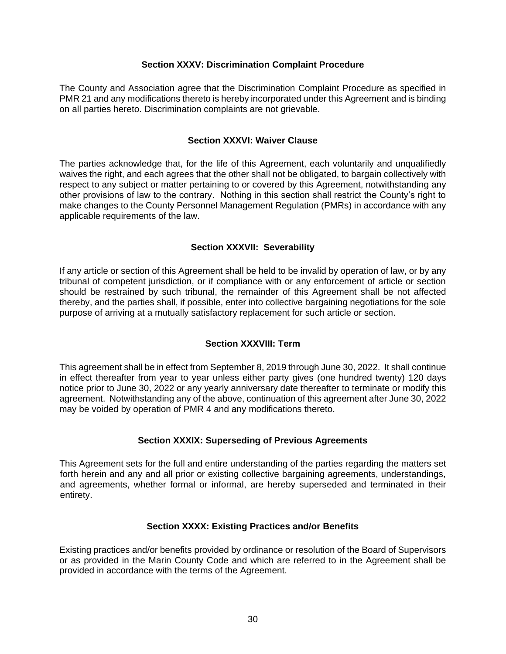#### **Section XXXV: Discrimination Complaint Procedure**

<span id="page-33-0"></span>The County and Association agree that the Discrimination Complaint Procedure as specified in PMR 21 and any modifications thereto is hereby incorporated under this Agreement and is binding on all parties hereto. Discrimination complaints are not grievable.

#### **Section XXXVI: Waiver Clause**

<span id="page-33-1"></span>The parties acknowledge that, for the life of this Agreement, each voluntarily and unqualifiedly waives the right, and each agrees that the other shall not be obligated, to bargain collectively with respect to any subject or matter pertaining to or covered by this Agreement, notwithstanding any other provisions of law to the contrary. Nothing in this section shall restrict the County's right to make changes to the County Personnel Management Regulation (PMRs) in accordance with any applicable requirements of the law.

# **Section XXXVII: Severability**

<span id="page-33-2"></span>If any article or section of this Agreement shall be held to be invalid by operation of law, or by any tribunal of competent jurisdiction, or if compliance with or any enforcement of article or section should be restrained by such tribunal, the remainder of this Agreement shall be not affected thereby, and the parties shall, if possible, enter into collective bargaining negotiations for the sole purpose of arriving at a mutually satisfactory replacement for such article or section.

# **Section XXXVIII: Term**

<span id="page-33-3"></span>This agreement shall be in effect from September 8, 2019 through June 30, 2022. It shall continue in effect thereafter from year to year unless either party gives (one hundred twenty) 120 days notice prior to June 30, 2022 or any yearly anniversary date thereafter to terminate or modify this agreement. Notwithstanding any of the above, continuation of this agreement after June 30, 2022 may be voided by operation of PMR 4 and any modifications thereto.

# **Section XXXIX: Superseding of Previous Agreements**

<span id="page-33-4"></span>This Agreement sets for the full and entire understanding of the parties regarding the matters set forth herein and any and all prior or existing collective bargaining agreements, understandings, and agreements, whether formal or informal, are hereby superseded and terminated in their entirety.

# **Section XXXX: Existing Practices and/or Benefits**

<span id="page-33-5"></span>Existing practices and/or benefits provided by ordinance or resolution of the Board of Supervisors or as provided in the Marin County Code and which are referred to in the Agreement shall be provided in accordance with the terms of the Agreement.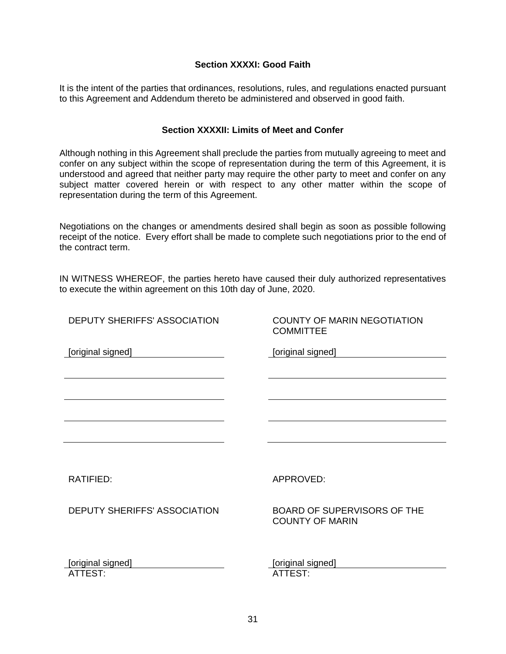#### **Section XXXXI: Good Faith**

<span id="page-34-0"></span>It is the intent of the parties that ordinances, resolutions, rules, and regulations enacted pursuant to this Agreement and Addendum thereto be administered and observed in good faith.

#### **Section XXXXII: Limits of Meet and Confer**

<span id="page-34-1"></span>Although nothing in this Agreement shall preclude the parties from mutually agreeing to meet and confer on any subject within the scope of representation during the term of this Agreement, it is understood and agreed that neither party may require the other party to meet and confer on any subject matter covered herein or with respect to any other matter within the scope of representation during the term of this Agreement.

Negotiations on the changes or amendments desired shall begin as soon as possible following receipt of the notice. Every effort shall be made to complete such negotiations prior to the end of the contract term.

IN WITNESS WHEREOF, the parties hereto have caused their duly authorized representatives to execute the within agreement on this 10th day of June, 2020.

| <b>DEPUTY SHERIFFS' ASSOCIATION</b> | <b>COUNTY OF MARIN NEGOTIATION</b><br><b>COMMITTEE</b>       |
|-------------------------------------|--------------------------------------------------------------|
| [original signed]                   | [original signed]                                            |
|                                     |                                                              |
|                                     |                                                              |
|                                     |                                                              |
|                                     |                                                              |
| RATIFIED:                           | APPROVED:                                                    |
| DEPUTY SHERIFFS' ASSOCIATION        | <b>BOARD OF SUPERVISORS OF THE</b><br><b>COUNTY OF MARIN</b> |
| [original signed]<br>ATTEST:        | [original signed]<br>ATTEST:                                 |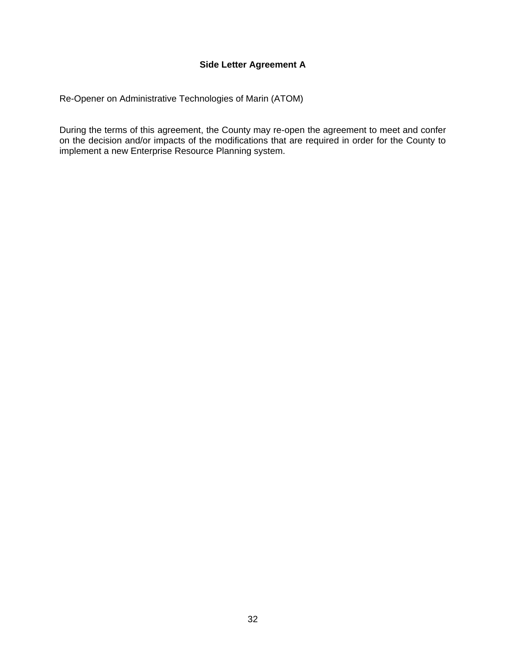# **Side Letter Agreement A**

<span id="page-35-1"></span><span id="page-35-0"></span>Re-Opener on Administrative Technologies of Marin (ATOM)

During the terms of this agreement, the County may re-open the agreement to meet and confer on the decision and/or impacts of the modifications that are required in order for the County to implement a new Enterprise Resource Planning system.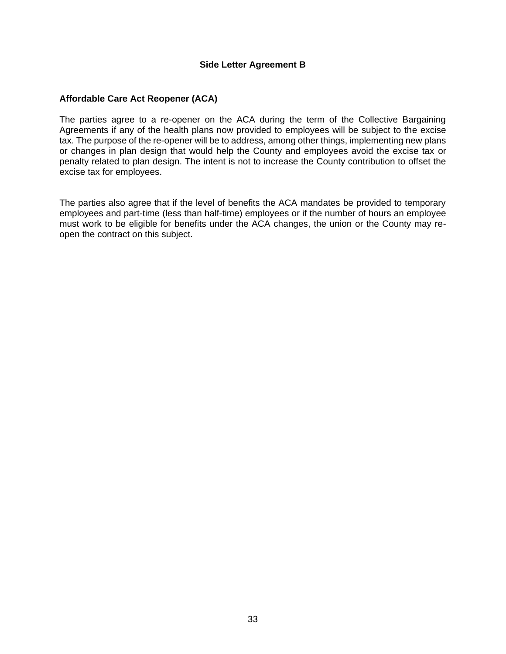## **Side Letter Agreement B**

# <span id="page-36-1"></span><span id="page-36-0"></span>**Affordable Care Act Reopener (ACA)**

The parties agree to a re-opener on the ACA during the term of the Collective Bargaining Agreements if any of the health plans now provided to employees will be subject to the excise tax. The purpose of the re-opener will be to address, among other things, implementing new plans or changes in plan design that would help the County and employees avoid the excise tax or penalty related to plan design. The intent is not to increase the County contribution to offset the excise tax for employees.

The parties also agree that if the level of benefits the ACA mandates be provided to temporary employees and part-time (less than half-time) employees or if the number of hours an employee must work to be eligible for benefits under the ACA changes, the union or the County may reopen the contract on this subject.